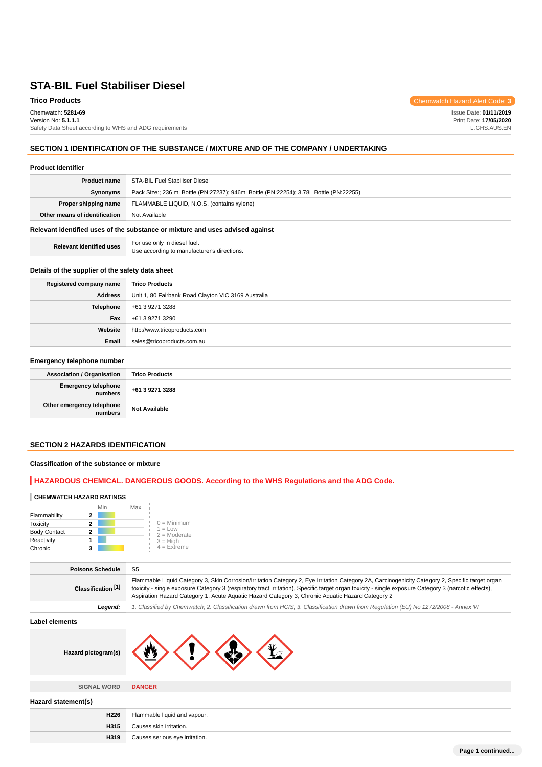**Trico Products** Chemwatch Hazard Alert Code: 3

Chemwatch: **5281-69** Version No: **5.1.1.1** Safety Data Sheet according to WHS and ADG requirements Issue Date: **01/11/2019** Print Date: **17/05/2020** L.GHS.AUS.EN

# **SECTION 1 IDENTIFICATION OF THE SUBSTANCE / MIXTURE AND OF THE COMPANY / UNDERTAKING**

### **Product Identifier**

| <b>Product name</b>                                                           | STA-BIL Fuel Stabiliser Diesel                                                         |
|-------------------------------------------------------------------------------|----------------------------------------------------------------------------------------|
| <b>Synonyms</b>                                                               | Pack Size:; 236 ml Bottle (PN:27237); 946ml Bottle (PN:22254); 3.78L Bottle (PN:22255) |
| Proper shipping name                                                          | FLAMMABLE LIQUID, N.O.S. (contains xylene)                                             |
| Other means of identification                                                 | Not Available                                                                          |
| Relevant identified uses of the substance or mixture and uses advised against |                                                                                        |

**Relevant identified uses** For use only in diesel fuel.

Use according to manufacturer's directions.

### **Details of the supplier of the safety data sheet**

| Registered company name | <b>Trico Products</b>                               |
|-------------------------|-----------------------------------------------------|
| <b>Address</b>          | Unit 1, 80 Fairbank Road Clayton VIC 3169 Australia |
| <b>Telephone</b>        | +61 3 9271 3288                                     |
| Fax                     | +61 3 9271 3290                                     |
| Website                 | http://www.tricoproducts.com                        |
| Email                   | sales@tricoproducts.com.au                          |

### **Emergency telephone number**

| Association / Organisation             | <b>Trico Products</b> |
|----------------------------------------|-----------------------|
| Emergency telephone<br>numbers         | +61 3 9271 3288       |
| Other emergency telephone<br>  numbers | <b>Not Available</b>  |

# **SECTION 2 HAZARDS IDENTIFICATION**

# **Classification of the substance or mixture**

# **HAZARDOUS CHEMICAL. DANGEROUS GOODS. According to the WHS Regulations and the ADG Code.**

### **CHEMWATCH HAZARD RATINGS**

|                     | Min | Max |                             |
|---------------------|-----|-----|-----------------------------|
| Flammability        |     |     |                             |
| <b>Toxicity</b>     | 2   |     | $0 =$ Minimum               |
| <b>Body Contact</b> | 2   |     | $1 = Low$<br>$2 =$ Moderate |
| Reactivity          |     |     | $3 = H$ iah                 |
| Chronic             |     |     | $4$ = Extreme               |

| <b>Poisons Schedule</b> | S <sub>5</sub>                                                                                                                                                                                                                                                                                                                                                                                                |
|-------------------------|---------------------------------------------------------------------------------------------------------------------------------------------------------------------------------------------------------------------------------------------------------------------------------------------------------------------------------------------------------------------------------------------------------------|
| Classification [1]      | Flammable Liquid Category 3, Skin Corrosion/Irritation Category 2, Eye Irritation Category 2A, Carcinogenicity Category 2, Specific target organ<br>toxicity - single exposure Category 3 (respiratory tract irritation), Specific target organ toxicity - single exposure Category 3 (narcotic effects),<br>Aspiration Hazard Category 1, Acute Aquatic Hazard Category 3, Chronic Aquatic Hazard Category 2 |
| Legend:                 | 1. Classified by Chemwatch; 2. Classification drawn from HCIS; 3. Classification drawn from Regulation (EU) No 1272/2008 - Annex VI                                                                                                                                                                                                                                                                           |
| Label elements          |                                                                                                                                                                                                                                                                                                                                                                                                               |
| Hazard pictogram(s)     |                                                                                                                                                                                                                                                                                                                                                                                                               |
| SIGNAL WORD             | <b>DANGER</b>                                                                                                                                                                                                                                                                                                                                                                                                 |
| Hazard statement(s)     |                                                                                                                                                                                                                                                                                                                                                                                                               |
| H226                    | Flammable liquid and vapour.                                                                                                                                                                                                                                                                                                                                                                                  |
| H315                    | Causes skin irritation.                                                                                                                                                                                                                                                                                                                                                                                       |
| H319                    | Causes serious eye irritation.                                                                                                                                                                                                                                                                                                                                                                                |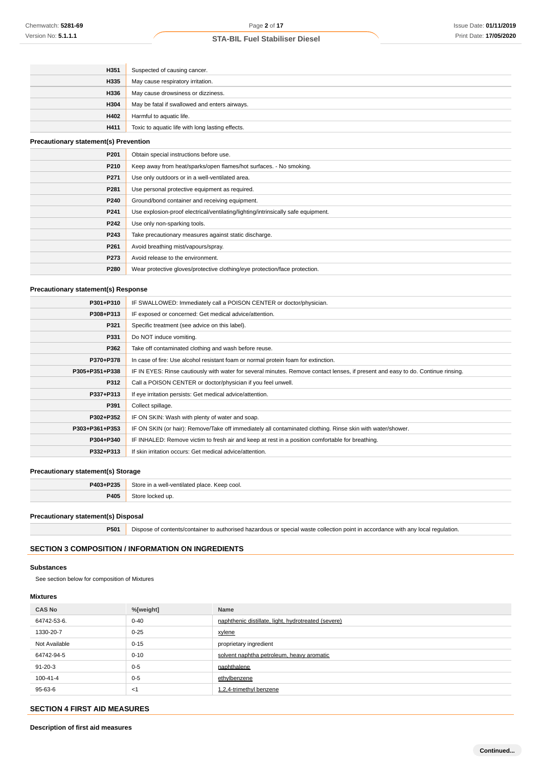| H351                                         | Suspected of causing cancer.                                                      |
|----------------------------------------------|-----------------------------------------------------------------------------------|
| H335                                         | May cause respiratory irritation.                                                 |
| H336                                         | May cause drowsiness or dizziness.                                                |
| H304                                         | May be fatal if swallowed and enters airways.                                     |
| H402                                         | Harmful to aquatic life.                                                          |
| H411                                         | Toxic to aquatic life with long lasting effects.                                  |
| <b>Precautionary statement(s) Prevention</b> |                                                                                   |
| P201                                         | Obtain special instructions before use.                                           |
| P210                                         | Keep away from heat/sparks/open flames/hot surfaces. - No smoking.                |
| P271                                         | Use only outdoors or in a well-ventilated area.                                   |
| P281                                         | Use personal protective equipment as required.                                    |
| P240                                         | Ground/bond container and receiving equipment.                                    |
| P241                                         | Use explosion-proof electrical/ventilating/lighting/intrinsically safe equipment. |
| P242                                         | Use only non-sparking tools.                                                      |
| P243                                         | Take precautionary measures against static discharge.                             |
| P261                                         | Avoid breathing mist/vapours/spray.                                               |
| P273                                         | Avoid release to the environment.                                                 |
| P280                                         | Wear protective gloves/protective clothing/eye protection/face protection.        |

# **Precautionary statement(s) Response**

| P301+P310      | IF SWALLOWED: Immediately call a POISON CENTER or doctor/physician.                                                              |
|----------------|----------------------------------------------------------------------------------------------------------------------------------|
| P308+P313      | IF exposed or concerned: Get medical advice/attention.                                                                           |
| P321           | Specific treatment (see advice on this label).                                                                                   |
| P331           | Do NOT induce vomiting.                                                                                                          |
| P362           | Take off contaminated clothing and wash before reuse.                                                                            |
| P370+P378      | In case of fire: Use alcohol resistant foam or normal protein foam for extinction.                                               |
| P305+P351+P338 | IF IN EYES: Rinse cautiously with water for several minutes. Remove contact lenses, if present and easy to do. Continue rinsing. |
| P312           | Call a POISON CENTER or doctor/physician if you feel unwell.                                                                     |
| P337+P313      | If eye irritation persists: Get medical advice/attention.                                                                        |
| P391           | Collect spillage.                                                                                                                |
| P302+P352      | IF ON SKIN: Wash with plenty of water and soap.                                                                                  |
| P303+P361+P353 | IF ON SKIN (or hair): Remove/Take off immediately all contaminated clothing. Rinse skin with water/shower.                       |
| P304+P340      | IF INHALED: Remove victim to fresh air and keep at rest in a position comfortable for breathing.                                 |
| P332+P313      | If skin irritation occurs: Get medical advice/attention.                                                                         |
|                |                                                                                                                                  |

# **Precautionary statement(s) Storage**

| P403+P235   | stor<br>اصست<br>nantilatad.<br>hiace.<br>Keep cool.<br>. |
|-------------|----------------------------------------------------------|
| <b>DAN5</b> | $\mathbf{u}$                                             |
| יטד ו       |                                                          |

### **Precautionary statement(s) Disposal**

**P501** Dispose of contents/container to authorised hazardous or special waste collection point in accordance with any local regulation.

# **SECTION 3 COMPOSITION / INFORMATION ON INGREDIENTS**

# **Substances**

See section below for composition of Mixtures

# **Mixtures**

| <b>CAS No</b> | %[weight] | Name                                                |
|---------------|-----------|-----------------------------------------------------|
| 64742-53-6.   | $0 - 40$  | naphthenic distillate, light, hydrotreated (severe) |
| 1330-20-7     | $0 - 25$  | xylene                                              |
| Not Available | $0 - 15$  | proprietary ingredient                              |
| 64742-94-5    | $0 - 10$  | solvent naphtha petroleum, heavy aromatic           |
| 91-20-3       | $0 - 5$   | naphthalene                                         |
| 100-41-4      | $0 - 5$   | ethylbenzene                                        |
| 95-63-6       | $<$ 1     | 1.2.4-trimethyl benzene                             |

# **SECTION 4 FIRST AID MEASURES**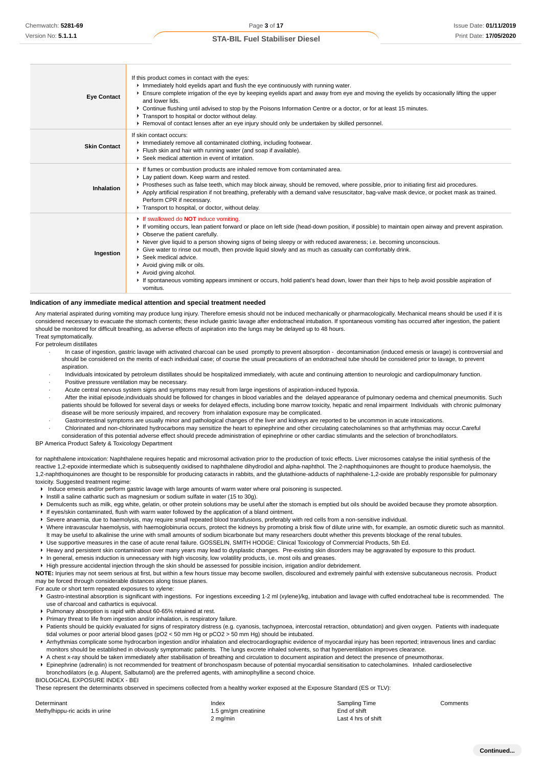| <b>Eye Contact</b>  | If this product comes in contact with the eyes:<br>Immediately hold eyelids apart and flush the eye continuously with running water.<br>Ensure complete irrigation of the eye by keeping eyelids apart and away from eye and moving the eyelids by occasionally lifting the upper<br>and lower lids.<br>▶ Continue flushing until advised to stop by the Poisons Information Centre or a doctor, or for at least 15 minutes.<br>Transport to hospital or doctor without delay.<br>► Removal of contact lenses after an eye injury should only be undertaken by skilled personnel.                                                                                                                                   |
|---------------------|---------------------------------------------------------------------------------------------------------------------------------------------------------------------------------------------------------------------------------------------------------------------------------------------------------------------------------------------------------------------------------------------------------------------------------------------------------------------------------------------------------------------------------------------------------------------------------------------------------------------------------------------------------------------------------------------------------------------|
| <b>Skin Contact</b> | If skin contact occurs:<br>Inmediately remove all contaminated clothing, including footwear.<br>Flush skin and hair with running water (and soap if available).<br>Seek medical attention in event of irritation.                                                                                                                                                                                                                                                                                                                                                                                                                                                                                                   |
| Inhalation          | If fumes or combustion products are inhaled remove from contaminated area.<br>Lay patient down. Keep warm and rested.<br>▶ Prostheses such as false teeth, which may block airway, should be removed, where possible, prior to initiating first aid procedures.<br>▶ Apply artificial respiration if not breathing, preferably with a demand valve resuscitator, bag-valve mask device, or pocket mask as trained.<br>Perform CPR if necessary.<br>Transport to hospital, or doctor, without delay.                                                                                                                                                                                                                 |
| Ingestion           | If swallowed do <b>NOT</b> induce vomiting.<br>► If vomiting occurs, lean patient forward or place on left side (head-down position, if possible) to maintain open airway and prevent aspiration.<br>• Observe the patient carefully.<br>▶ Never give liquid to a person showing signs of being sleepy or with reduced awareness; i.e. becoming unconscious.<br>► Give water to rinse out mouth, then provide liquid slowly and as much as casualty can comfortably drink.<br>▶ Seek medical advice.<br>Avoid giving milk or oils.<br>Avoid giving alcohol.<br>If spontaneous vomiting appears imminent or occurs, hold patient's head down, lower than their hips to help avoid possible aspiration of<br>vomitus. |

### **Indication of any immediate medical attention and special treatment needed**

Any material aspirated during vomiting may produce lung injury. Therefore emesis should not be induced mechanically or pharmacologically. Mechanical means should be used if it is considered necessary to evacuate the stomach contents; these include gastric lavage after endotracheal intubation. If spontaneous vomiting has occurred after ingestion, the patient should be monitored for difficult breathing, as adverse effects of aspiration into the lungs may be delayed up to 48 hours. Treat symptomatically.

# For petroleum distillates

- · In case of ingestion, gastric lavage with activated charcoal can be used promptly to prevent absorption decontamination (induced emesis or lavage) is controversial and should be considered on the merits of each individual case; of course the usual precautions of an endotracheal tube should be considered prior to lavage, to prevent aspiration.
- · Individuals intoxicated by petroleum distillates should be hospitalized immediately, with acute and continuing attention to neurologic and cardiopulmonary function.
- Positive pressure ventilation may be necessary.
- · Acute central nervous system signs and symptoms may result from large ingestions of aspiration-induced hypoxia.
- After the initial episode, individuals should be followed for changes in blood variables and the delayed appearance of pulmonary oedema and chemical pneumonitis. Such patients should be followed for several days or weeks for delayed effects, including bone marrow toxicity, hepatic and renal impairment Individuals with chronic pulmonary disease will be more seriously impaired, and recovery from inhalation exposure may be complicated.
- · Gastrointestinal symptoms are usually minor and pathological changes of the liver and kidneys are reported to be uncommon in acute intoxications.
- · Chlorinated and non-chlorinated hydrocarbons may sensitize the heart to epinephrine and other circulating catecholamines so that arrhythmias may occur.Careful consideration of this potential adverse effect should precede administration of epinephrine or other cardiac stimulants and the selection of bronchodilators.

### BP America Product Safety & Toxicology Department

for naphthalene intoxication: Naphthalene requires hepatic and microsomal activation prior to the production of toxic effects. Liver microsomes catalyse the initial synthesis of the reactive 1,2-epoxide intermediate which is subsequently oxidised to naphthalene dihydrodiol and alpha-naphthol. The 2-naphthoquinones are thought to produce haemolysis, the 1,2-naphthoquinones are thought to be responsible for producing cataracts in rabbits, and the glutathione-adducts of naphthalene-1,2-oxide are probably responsible for pulmonary toxicity. Suggested treatment regime:

- Induce emesis and/or perform gastric lavage with large amounts of warm water where oral poisoning is suspected.
- **Instill a saline cathartic such as magnesium or sodium sulfate in water (15 to 30g)**
- **P** Demulcents such as milk, egg white, gelatin, or other protein solutions may be useful after the stomach is emptied but oils should be avoided because they promote absorption.
- If eyes/skin contaminated, flush with warm water followed by the application of a bland ointment.
- Severe anaemia, due to haemolysis, may require small repeated blood transfusions, preferably with red cells from a non-sensitive individual.
- ▶ Where intravascular haemolysis, with haemoglobinuria occurs, protect the kidneys by promoting a brisk flow of dilute urine with, for example, an osmotic diuretic such as mannitol. It may be useful to alkalinise the urine with small amounts of sodium bicarbonate but many researchers doubt whether this prevents blockage of the renal tubules.
- Use supportive measures in the case of acute renal failure. GOSSELIN, SMITH HODGE: Clinical Toxicology of Commercial Products, 5th Ed.
- ► Heavy and persistent skin contamination over many years may lead to dysplastic changes. Pre-existing skin disorders may be aggravated by exposure to this product.
- In general, emesis induction is unnecessary with high viscosity, low volatility products, i.e. most oils and greases.
- High pressure accidental injection through the skin should be assessed for possible incision, irrigation and/or debridement.

**NOTE:** Injuries may not seem serious at first, but within a few hours tissue may become swollen, discoloured and extremely painful with extensive subcutaneous necrosis. Product may be forced through considerable distances along tissue planes.

For acute or short term repeated exposures to xylene:

- Gastro-intestinal absorption is significant with ingestions. For ingestions exceeding 1-2 ml (xylene)/kg, intubation and lavage with cuffed endotracheal tube is recommended. The use of charcoal and cathartics is equivocal.
- Pulmonary absorption is rapid with about 60-65% retained at rest.
- Primary threat to life from ingestion and/or inhalation, is respiratory failure.
- Patients should be quickly evaluated for signs of respiratory distress (e.g. cyanosis, tachypnoea, intercostal retraction, obtundation) and given oxygen. Patients with inadequate tidal volumes or poor arterial blood gases (pO2 < 50 mm Hg or pCO2 > 50 mm Hg) should be intubated.
- ▶ Arrhythmias complicate some hydrocarbon ingestion and/or inhalation and electrocardiographic evidence of myocardial injury has been reported; intravenous lines and cardiac monitors should be established in obviously symptomatic patients. The lungs excrete inhaled solvents, so that hyperventilation improves clearance.
- A chest x-ray should be taken immediately after stabilisation of breathing and circulation to document aspiration and detect the presence of pneumothorax.
- Epinephrine (adrenalin) is not recommended for treatment of bronchospasm because of potential myocardial sensitisation to catecholamines. Inhaled cardioselective bronchodilators (e.g. Alupent, Salbutamol) are the preferred agents, with aminophylline a second choice.
- BIOLOGICAL EXPOSURE INDEX BEI

These represent the determinants observed in specimens collected from a healthy worker exposed at the Exposure Standard (ES or TLV):

| Determinant                    | Index                | Sampling Time       | Comments |
|--------------------------------|----------------------|---------------------|----------|
| Methylhippu-ric acids in urine | 1.5 gm/gm creatinine | End of shift        |          |
|                                | $2 \text{ ma/min}$   | Last 4 hrs of shift |          |

Last 4 hrs of shift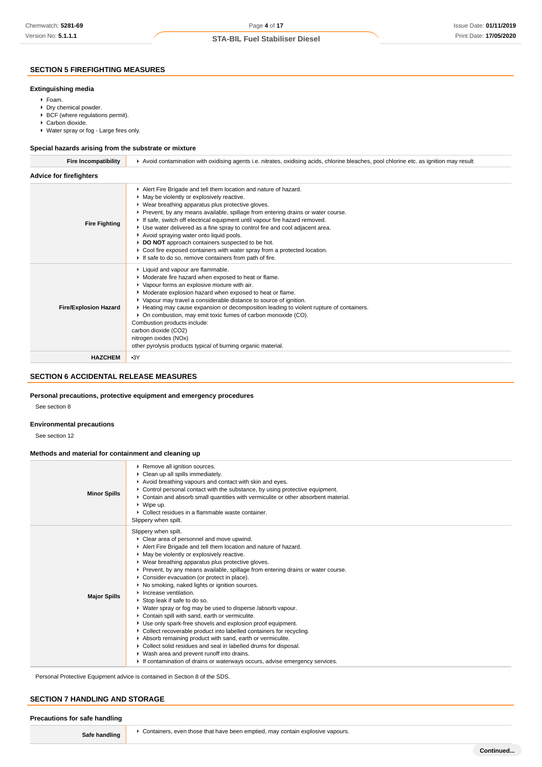# **SECTION 5 FIREFIGHTING MEASURES**

### **Extinguishing media**

- Foam.
- ▶ Dry chemical powder.
- $\blacktriangleright$  BCF (where regulations permit).
- Carbon dioxide.
- Water spray or fog Large fires only.

### **Special hazards arising from the substrate or mixture**

| <b>Fire Incompatibility</b>    | ► Avoid contamination with oxidising agents i.e. nitrates, oxidising acids, chlorine bleaches, pool chlorine etc. as ignition may result                                                                                                                                                                                                                                                                                                                                                                                                                                                                                                                     |  |  |
|--------------------------------|--------------------------------------------------------------------------------------------------------------------------------------------------------------------------------------------------------------------------------------------------------------------------------------------------------------------------------------------------------------------------------------------------------------------------------------------------------------------------------------------------------------------------------------------------------------------------------------------------------------------------------------------------------------|--|--|
| <b>Advice for firefighters</b> |                                                                                                                                                                                                                                                                                                                                                                                                                                                                                                                                                                                                                                                              |  |  |
| <b>Fire Fighting</b>           | Alert Fire Brigade and tell them location and nature of hazard.<br>• May be violently or explosively reactive.<br>▶ Wear breathing apparatus plus protective gloves.<br>▶ Prevent, by any means available, spillage from entering drains or water course.<br>If safe, switch off electrical equipment until vapour fire hazard removed.<br>► Use water delivered as a fine spray to control fire and cool adjacent area.<br>Avoid spraying water onto liquid pools.<br>DO NOT approach containers suspected to be hot.<br>Cool fire exposed containers with water spray from a protected location.<br>If safe to do so, remove containers from path of fire. |  |  |
| <b>Fire/Explosion Hazard</b>   | Liquid and vapour are flammable.<br>• Moderate fire hazard when exposed to heat or flame.<br>• Vapour forms an explosive mixture with air.<br>• Moderate explosion hazard when exposed to heat or flame.<br>▶ Vapour may travel a considerable distance to source of ignition.<br>► Heating may cause expansion or decomposition leading to violent rupture of containers.<br>• On combustion, may emit toxic fumes of carbon monoxide (CO).<br>Combustion products include:<br>carbon dioxide (CO2)<br>nitrogen oxides (NOx)<br>other pyrolysis products typical of burning organic material.                                                               |  |  |
| <b>HAZCHEM</b>                 | $-3Y$                                                                                                                                                                                                                                                                                                                                                                                                                                                                                                                                                                                                                                                        |  |  |

# **SECTION 6 ACCIDENTAL RELEASE MEASURES**

### **Personal precautions, protective equipment and emergency procedures**

See section 8

## **Environmental precautions**

See section 12

# **Methods and material for containment and cleaning up**

| <b>Minor Spills</b> | Remove all ignition sources.<br>• Clean up all spills immediately.<br>Avoid breathing vapours and contact with skin and eyes.<br>• Control personal contact with the substance, by using protective equipment.<br>▶ Contain and absorb small quantities with vermiculite or other absorbent material.<br>$\triangleright$ Wipe up.<br>▶ Collect residues in a flammable waste container.                                                                                                                                                                                                                                                                                                                                                                                                                                                                                                                                                                                                                       |
|---------------------|----------------------------------------------------------------------------------------------------------------------------------------------------------------------------------------------------------------------------------------------------------------------------------------------------------------------------------------------------------------------------------------------------------------------------------------------------------------------------------------------------------------------------------------------------------------------------------------------------------------------------------------------------------------------------------------------------------------------------------------------------------------------------------------------------------------------------------------------------------------------------------------------------------------------------------------------------------------------------------------------------------------|
|                     | Slippery when spilt.                                                                                                                                                                                                                                                                                                                                                                                                                                                                                                                                                                                                                                                                                                                                                                                                                                                                                                                                                                                           |
| <b>Major Spills</b> | Slippery when spilt.<br>Clear area of personnel and move upwind.<br>Alert Fire Brigade and tell them location and nature of hazard.<br>• May be violently or explosively reactive.<br>▶ Wear breathing apparatus plus protective gloves.<br>▶ Prevent, by any means available, spillage from entering drains or water course.<br>• Consider evacuation (or protect in place).<br>▶ No smoking, naked lights or ignition sources.<br>Increase ventilation.<br>Stop leak if safe to do so.<br>• Water spray or fog may be used to disperse /absorb vapour.<br>Contain spill with sand, earth or vermiculite.<br>Use only spark-free shovels and explosion proof equipment.<br>• Collect recoverable product into labelled containers for recycling.<br>Absorb remaining product with sand, earth or vermiculite.<br>Collect solid residues and seal in labelled drums for disposal.<br>▶ Wash area and prevent runoff into drains.<br>If contamination of drains or waterways occurs, advise emergency services. |

Personal Protective Equipment advice is contained in Section 8 of the SDS.

# **SECTION 7 HANDLING AND STORAGE**

| sare<br>, nangung<br>ю |  |                                                                              |
|------------------------|--|------------------------------------------------------------------------------|
|                        |  | Containers, aven those that have been amptied move contain ovalesive vanours |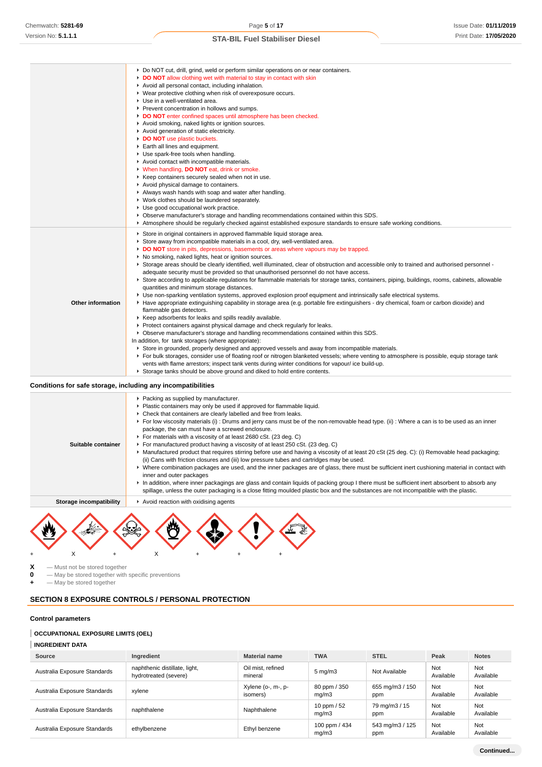|                          | ▶ Do NOT cut, drill, grind, weld or perform similar operations on or near containers.<br>DO NOT allow clothing wet with material to stay in contact with skin<br>Avoid all personal contact, including inhalation.<br>▶ Wear protective clothing when risk of overexposure occurs.<br>▶ Use in a well-ventilated area.<br>Prevent concentration in hollows and sumps.<br>DO NOT enter confined spaces until atmosphere has been checked.<br>Avoid smoking, naked lights or ignition sources.<br>Avoid generation of static electricity.<br>DO NOT use plastic buckets.<br>Earth all lines and equipment.<br>• Use spark-free tools when handling.<br>Avoid contact with incompatible materials.<br>Vhen handling, DO NOT eat, drink or smoke.<br>▶ Keep containers securely sealed when not in use.<br>Avoid physical damage to containers.<br>Always wash hands with soap and water after handling.<br>▶ Work clothes should be laundered separately.<br>• Use good occupational work practice.<br>▶ Observe manufacturer's storage and handling recommendations contained within this SDS.                                                                                                                                                                                                                                                                                                                                                                                                                                                                                                                                                                                                                                                                                                                                                                                                               |
|--------------------------|------------------------------------------------------------------------------------------------------------------------------------------------------------------------------------------------------------------------------------------------------------------------------------------------------------------------------------------------------------------------------------------------------------------------------------------------------------------------------------------------------------------------------------------------------------------------------------------------------------------------------------------------------------------------------------------------------------------------------------------------------------------------------------------------------------------------------------------------------------------------------------------------------------------------------------------------------------------------------------------------------------------------------------------------------------------------------------------------------------------------------------------------------------------------------------------------------------------------------------------------------------------------------------------------------------------------------------------------------------------------------------------------------------------------------------------------------------------------------------------------------------------------------------------------------------------------------------------------------------------------------------------------------------------------------------------------------------------------------------------------------------------------------------------------------------------------------------------------------------------------------------------------------------|
| <b>Other information</b> | Atmosphere should be regularly checked against established exposure standards to ensure safe working conditions.<br>Store in original containers in approved flammable liquid storage area.<br>Store away from incompatible materials in a cool, dry, well-ventilated area.<br>DO NOT store in pits, depressions, basements or areas where vapours may be trapped.<br>▶ No smoking, naked lights, heat or ignition sources.<br>► Storage areas should be clearly identified, well illuminated, clear of obstruction and accessible only to trained and authorised personnel -<br>adequate security must be provided so that unauthorised personnel do not have access.<br>▶ Store according to applicable regulations for flammable materials for storage tanks, containers, piping, buildings, rooms, cabinets, allowable<br>quantities and minimum storage distances.<br>▶ Use non-sparking ventilation systems, approved explosion proof equipment and intrinsically safe electrical systems.<br>► Have appropriate extinguishing capability in storage area (e.g. portable fire extinguishers - dry chemical, foam or carbon dioxide) and<br>flammable gas detectors.<br>▶ Keep adsorbents for leaks and spills readily available.<br>Protect containers against physical damage and check regularly for leaks.<br>▶ Observe manufacturer's storage and handling recommendations contained within this SDS.<br>In addition, for tank storages (where appropriate):<br>Store in grounded, properly designed and approved vessels and away from incompatible materials.<br>► For bulk storages, consider use of floating roof or nitrogen blanketed vessels; where venting to atmosphere is possible, equip storage tank<br>vents with flame arrestors; inspect tank vents during winter conditions for vapour/ ice build-up.<br>Storage tanks should be above ground and diked to hold entire contents. |

## **Conditions for safe storage, including any incompatibilities**

⊣

| Suitable container      | Packing as supplied by manufacturer.<br>• Plastic containers may only be used if approved for flammable liquid.<br>• Check that containers are clearly labelled and free from leaks.<br>▶ For low viscosity materials (i) : Drums and jerry cans must be of the non-removable head type. (ii) : Where a can is to be used as an inner<br>package, the can must have a screwed enclosure.<br>For materials with a viscosity of at least 2680 cSt. (23 deg. C)<br>For manufactured product having a viscosity of at least 250 cSt. (23 deg. C)<br>► Manufactured product that requires stirring before use and having a viscosity of at least 20 cSt (25 deg. C): (i) Removable head packaging;<br>(ii) Cans with friction closures and (iii) low pressure tubes and cartridges may be used.<br>▶ Where combination packages are used, and the inner packages are of glass, there must be sufficient inert cushioning material in contact with<br>inner and outer packages<br>In addition, where inner packagings are glass and contain liquids of packing group I there must be sufficient inert absorbent to absorb any<br>spillage, unless the outer packaging is a close fitting moulded plastic box and the substances are not incompatible with the plastic. |
|-------------------------|------------------------------------------------------------------------------------------------------------------------------------------------------------------------------------------------------------------------------------------------------------------------------------------------------------------------------------------------------------------------------------------------------------------------------------------------------------------------------------------------------------------------------------------------------------------------------------------------------------------------------------------------------------------------------------------------------------------------------------------------------------------------------------------------------------------------------------------------------------------------------------------------------------------------------------------------------------------------------------------------------------------------------------------------------------------------------------------------------------------------------------------------------------------------------------------------------------------------------------------------------------------|
| Storage incompatibility | Avoid reaction with oxidising agents                                                                                                                                                                                                                                                                                                                                                                                                                                                                                                                                                                                                                                                                                                                                                                                                                                                                                                                                                                                                                                                                                                                                                                                                                             |
|                         |                                                                                                                                                                                                                                                                                                                                                                                                                                                                                                                                                                                                                                                                                                                                                                                                                                                                                                                                                                                                                                                                                                                                                                                                                                                                  |

**X** — Must not be stored together<br>**0** — May be stored together with

**0** — May be stored together with specific preventions<br>  $\div$  — May be stored together  $-$  May be stored together

# **SECTION 8 EXPOSURE CONTROLS / PERSONAL PROTECTION**

+ X + X + + +

### **Control parameters**

### **OCCUPATIONAL EXPOSURE LIMITS (OEL)**

### **INGREDIENT DATA**

| Source                       | Ingredient                                             | <b>Material name</b>           | <b>TWA</b>             | <b>STEL</b>            | Peak             | <b>Notes</b>     |
|------------------------------|--------------------------------------------------------|--------------------------------|------------------------|------------------------|------------------|------------------|
| Australia Exposure Standards | naphthenic distillate, light,<br>hydrotreated (severe) | Oil mist, refined<br>mineral   | $5 \text{ mg/m}$       | Not Available          | Not<br>Available | Not<br>Available |
| Australia Exposure Standards | xvlene                                                 | Xylene (o-, m-, p-<br>isomers) | 80 ppm / 350<br>mq/m3  | 655 mg/m3 / 150<br>ppm | Not<br>Available | Not<br>Available |
| Australia Exposure Standards | naphthalene                                            | Naphthalene                    | 10 ppm $/52$<br>mq/m3  | 79 mg/m3 / 15<br>ppm   | Not<br>Available | Not<br>Available |
| Australia Exposure Standards | ethylbenzene                                           | Ethyl benzene                  | 100 ppm / 434<br>mq/m3 | 543 mg/m3 / 125<br>ppm | Not<br>Available | Not<br>Available |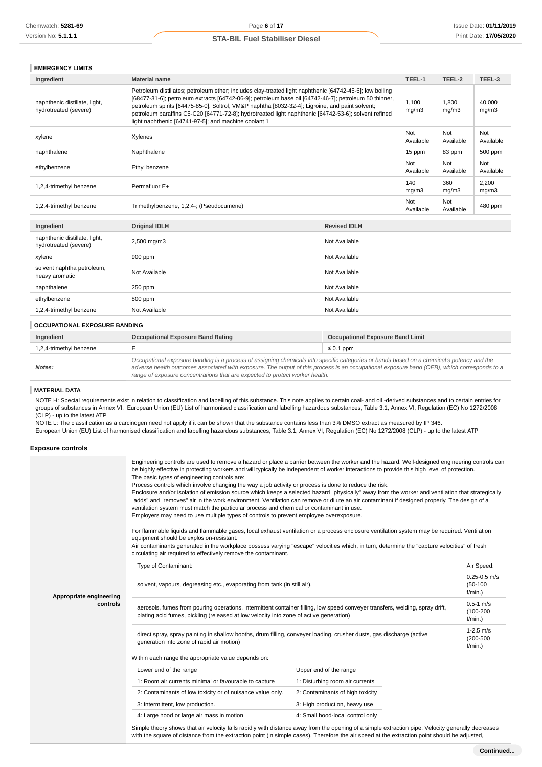| <b>EMERGENCY LIMITS</b> |
|-------------------------|
|-------------------------|

| Ingredient                                             | <b>Material name</b>                                                                                                                                                                                                                                                                                                                                                                                                                                                                 | TEEL-1           | TEEL-2           | TEEL-3           |
|--------------------------------------------------------|--------------------------------------------------------------------------------------------------------------------------------------------------------------------------------------------------------------------------------------------------------------------------------------------------------------------------------------------------------------------------------------------------------------------------------------------------------------------------------------|------------------|------------------|------------------|
| naphthenic distillate, light,<br>hydrotreated (severe) | Petroleum distillates; petroleum ether; includes clay-treated light naphthenic [64742-45-6]; low boiling<br>[68477-31-6]; petroleum extracts [64742-06-9]; petroleum base oil [64742-46-7]; petroleum 50 thinner,<br>petroleum spirits [64475-85-0], Soltrol, VM&P naphtha [8032-32-4]; Ligroine, and paint solvent;<br>petroleum paraffins C5-C20 [64771-72-8]; hydrotreated light naphthenic [64742-53-6]; solvent refined<br>light naphthenic [64741-97-5]; and machine coolant 1 | 1,100<br>mq/m3   | 1.800<br>mq/m3   | 40,000<br>mq/m3  |
| xylene                                                 | Xylenes                                                                                                                                                                                                                                                                                                                                                                                                                                                                              | Not<br>Available | Not<br>Available | Not<br>Available |
| naphthalene                                            | Naphthalene                                                                                                                                                                                                                                                                                                                                                                                                                                                                          | 15 ppm           | 83 ppm           | 500 ppm          |
| ethylbenzene                                           | Ethyl benzene                                                                                                                                                                                                                                                                                                                                                                                                                                                                        | Not<br>Available | Not<br>Available | Not<br>Available |
| 1,2,4-trimethyl benzene                                | Permafluor E+                                                                                                                                                                                                                                                                                                                                                                                                                                                                        | 140<br>mq/m3     | 360<br>mq/m3     | 2,200<br>mq/m3   |
| 1,2,4-trimethyl benzene                                | Trimethylbenzene, 1,2,4-; (Pseudocumene)                                                                                                                                                                                                                                                                                                                                                                                                                                             | Not<br>Available | Not<br>Available | 480 ppm          |

| Ingredient                                             | <b>Original IDLH</b> | <b>Revised IDLH</b> |
|--------------------------------------------------------|----------------------|---------------------|
| naphthenic distillate, light,<br>hydrotreated (severe) | 2,500 mg/m3          | Not Available       |
| xylene                                                 | 900 ppm              | Not Available       |
| solvent naphtha petroleum,<br>heavy aromatic           | Not Available        | Not Available       |
| naphthalene                                            | 250 ppm              | Not Available       |
| ethylbenzene                                           | 800 ppm              | Not Available       |
| 1,2,4-trimethyl benzene                                | Not Available        | Not Available       |

### **OCCUPATIONAL EXPOSURE BANDING**

| Ingredient              | <b>Occupational Exposure Band Rating</b>                                                                                                                                                                                                                                                                                                                                 | <b>Occupational Exposure Band Limit</b> |
|-------------------------|--------------------------------------------------------------------------------------------------------------------------------------------------------------------------------------------------------------------------------------------------------------------------------------------------------------------------------------------------------------------------|-----------------------------------------|
| 1,2,4-trimethyl benzene |                                                                                                                                                                                                                                                                                                                                                                          | $\leq 0.1$ ppm                          |
| Notes:                  | Occupational exposure banding is a process of assigning chemicals into specific categories or bands based on a chemical's potency and the<br>adverse health outcomes associated with exposure. The output of this process is an occupational exposure band (OEB), which corresponds to a<br>range of exposure concentrations that are expected to protect worker health. |                                         |

### **MATERIAL DATA**

NOTE H: Special requirements exist in relation to classification and labelling of this substance. This note applies to certain coal- and oil -derived substances and to certain entries for groups of substances in Annex VI. European Union (EU) List of harmonised classification and labelling hazardous substances, Table 3.1, Annex VI, Regulation (EC) No 1272/2008 (CLP) - up to the latest ATP

NOTE L: The classification as a carcinogen need not apply if it can be shown that the substance contains less than 3% DMSO extract as measured by IP 346. European Union (EU) List of harmonised classification and labelling hazardous substances, Table 3.1, Annex VI, Regulation (EC) No 1272/2008 (CLP) - up to the latest ATP

### **Exposure controls**

|                                     | Engineering controls are used to remove a hazard or place a barrier between the worker and the hazard. Well-designed engineering controls can<br>be highly effective in protecting workers and will typically be independent of worker interactions to provide this high level of protection.<br>The basic types of engineering controls are:<br>Process controls which involve changing the way a job activity or process is done to reduce the risk.<br>Enclosure and/or isolation of emission source which keeps a selected hazard "physically" away from the worker and ventilation that strategically<br>"adds" and "removes" air in the work environment. Ventilation can remove or dilute an air contaminant if designed properly. The design of a<br>ventilation system must match the particular process and chemical or contaminant in use.<br>Employers may need to use multiple types of controls to prevent employee overexposure.<br>For flammable liquids and flammable gases, local exhaust ventilation or a process enclosure ventilation system may be required. Ventilation<br>equipment should be explosion-resistant.<br>Air contaminants generated in the workplace possess varying "escape" velocities which, in turn, determine the "capture velocities" of fresh<br>circulating air required to effectively remove the contaminant. |                                                                                                                                                                                                                                                                                                   |                                           |
|-------------------------------------|--------------------------------------------------------------------------------------------------------------------------------------------------------------------------------------------------------------------------------------------------------------------------------------------------------------------------------------------------------------------------------------------------------------------------------------------------------------------------------------------------------------------------------------------------------------------------------------------------------------------------------------------------------------------------------------------------------------------------------------------------------------------------------------------------------------------------------------------------------------------------------------------------------------------------------------------------------------------------------------------------------------------------------------------------------------------------------------------------------------------------------------------------------------------------------------------------------------------------------------------------------------------------------------------------------------------------------------------------------------|---------------------------------------------------------------------------------------------------------------------------------------------------------------------------------------------------------------------------------------------------------------------------------------------------|-------------------------------------------|
|                                     | Type of Contaminant:                                                                                                                                                                                                                                                                                                                                                                                                                                                                                                                                                                                                                                                                                                                                                                                                                                                                                                                                                                                                                                                                                                                                                                                                                                                                                                                                         |                                                                                                                                                                                                                                                                                                   | Air Speed:                                |
| Appropriate engineering<br>controls | solvent, vapours, degreasing etc., evaporating from tank (in still air).                                                                                                                                                                                                                                                                                                                                                                                                                                                                                                                                                                                                                                                                                                                                                                                                                                                                                                                                                                                                                                                                                                                                                                                                                                                                                     |                                                                                                                                                                                                                                                                                                   | $0.25 - 0.5$ m/s<br>$(50-100)$<br>f/min.) |
|                                     | aerosols, fumes from pouring operations, intermittent container filling, low speed conveyer transfers, welding, spray drift,<br>plating acid fumes, pickling (released at low velocity into zone of active generation)                                                                                                                                                                                                                                                                                                                                                                                                                                                                                                                                                                                                                                                                                                                                                                                                                                                                                                                                                                                                                                                                                                                                       |                                                                                                                                                                                                                                                                                                   |                                           |
|                                     | $1-2.5$ m/s<br>direct spray, spray painting in shallow booths, drum filling, conveyer loading, crusher dusts, gas discharge (active<br>$(200 - 500)$<br>generation into zone of rapid air motion)<br>f/min.)                                                                                                                                                                                                                                                                                                                                                                                                                                                                                                                                                                                                                                                                                                                                                                                                                                                                                                                                                                                                                                                                                                                                                 |                                                                                                                                                                                                                                                                                                   |                                           |
|                                     | Within each range the appropriate value depends on:                                                                                                                                                                                                                                                                                                                                                                                                                                                                                                                                                                                                                                                                                                                                                                                                                                                                                                                                                                                                                                                                                                                                                                                                                                                                                                          |                                                                                                                                                                                                                                                                                                   |                                           |
|                                     | Lower end of the range                                                                                                                                                                                                                                                                                                                                                                                                                                                                                                                                                                                                                                                                                                                                                                                                                                                                                                                                                                                                                                                                                                                                                                                                                                                                                                                                       | Upper end of the range                                                                                                                                                                                                                                                                            |                                           |
|                                     | 1: Room air currents minimal or favourable to capture                                                                                                                                                                                                                                                                                                                                                                                                                                                                                                                                                                                                                                                                                                                                                                                                                                                                                                                                                                                                                                                                                                                                                                                                                                                                                                        | 1: Disturbing room air currents                                                                                                                                                                                                                                                                   |                                           |
|                                     | 2: Contaminants of low toxicity or of nuisance value only.                                                                                                                                                                                                                                                                                                                                                                                                                                                                                                                                                                                                                                                                                                                                                                                                                                                                                                                                                                                                                                                                                                                                                                                                                                                                                                   | 2: Contaminants of high toxicity                                                                                                                                                                                                                                                                  |                                           |
|                                     | 3: Intermittent, low production.                                                                                                                                                                                                                                                                                                                                                                                                                                                                                                                                                                                                                                                                                                                                                                                                                                                                                                                                                                                                                                                                                                                                                                                                                                                                                                                             | 3: High production, heavy use                                                                                                                                                                                                                                                                     |                                           |
|                                     | 4: Large hood or large air mass in motion                                                                                                                                                                                                                                                                                                                                                                                                                                                                                                                                                                                                                                                                                                                                                                                                                                                                                                                                                                                                                                                                                                                                                                                                                                                                                                                    | 4: Small hood-local control only                                                                                                                                                                                                                                                                  |                                           |
|                                     |                                                                                                                                                                                                                                                                                                                                                                                                                                                                                                                                                                                                                                                                                                                                                                                                                                                                                                                                                                                                                                                                                                                                                                                                                                                                                                                                                              | Simple theory shows that air velocity falls rapidly with distance away from the opening of a simple extraction pipe. Velocity generally decreases<br>with the square of distance from the extraction point (in simple cases). Therefore the air speed at the extraction point should be adjusted, |                                           |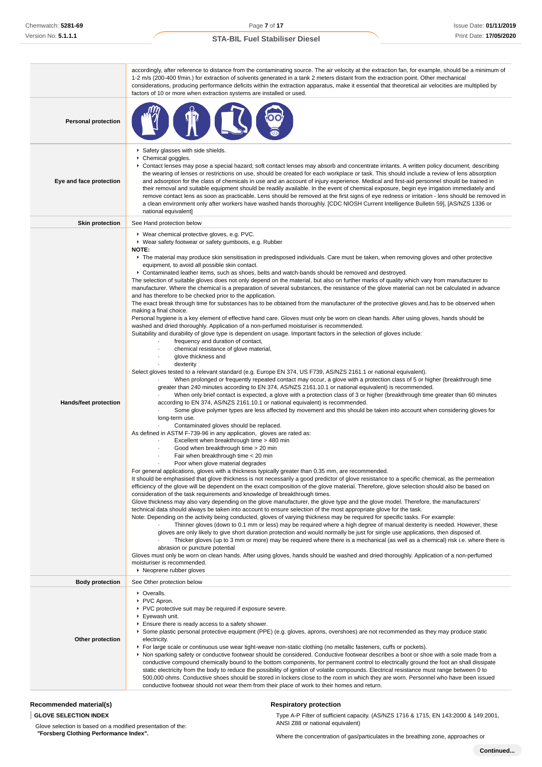|                                                                                                                                                                                                                                                                                                                                                                                                                                                                                                                                                                                                                                                                                                                                                                                                                                                                                                                                                                                                                                                                                                                                                                                                                                                                                                                                                                                                                                                                                                                                                                                                                                                                                                                                                                                                                                                                                                                                                                                                                                                                                                                                                                                                                                                                                                                                                                                                                                                                                                                                                                                                                                                                                                                                                                                                                                                                                                                                                                                                                                                                                                                                                                                                                                                                                                                                                                                                                                                                                                                                                                                                                                                                                                                                                                                                                                                                                                                                                                                              | accordingly, after reference to distance from the contaminating source. The air velocity at the extraction fan, for example, should be a minimum of<br>1-2 m/s (200-400 f/min.) for extraction of solvents generated in a tank 2 meters distant from the extraction point. Other mechanical<br>considerations, producing performance deficits within the extraction apparatus, make it essential that theoretical air velocities are multiplied by<br>factors of 10 or more when extraction systems are installed or used.                                                                                                                                                                                                                                                                                                                                                                                                                                                                                                                                                                                                               |
|----------------------------------------------------------------------------------------------------------------------------------------------------------------------------------------------------------------------------------------------------------------------------------------------------------------------------------------------------------------------------------------------------------------------------------------------------------------------------------------------------------------------------------------------------------------------------------------------------------------------------------------------------------------------------------------------------------------------------------------------------------------------------------------------------------------------------------------------------------------------------------------------------------------------------------------------------------------------------------------------------------------------------------------------------------------------------------------------------------------------------------------------------------------------------------------------------------------------------------------------------------------------------------------------------------------------------------------------------------------------------------------------------------------------------------------------------------------------------------------------------------------------------------------------------------------------------------------------------------------------------------------------------------------------------------------------------------------------------------------------------------------------------------------------------------------------------------------------------------------------------------------------------------------------------------------------------------------------------------------------------------------------------------------------------------------------------------------------------------------------------------------------------------------------------------------------------------------------------------------------------------------------------------------------------------------------------------------------------------------------------------------------------------------------------------------------------------------------------------------------------------------------------------------------------------------------------------------------------------------------------------------------------------------------------------------------------------------------------------------------------------------------------------------------------------------------------------------------------------------------------------------------------------------------------------------------------------------------------------------------------------------------------------------------------------------------------------------------------------------------------------------------------------------------------------------------------------------------------------------------------------------------------------------------------------------------------------------------------------------------------------------------------------------------------------------------------------------------------------------------------------------------------------------------------------------------------------------------------------------------------------------------------------------------------------------------------------------------------------------------------------------------------------------------------------------------------------------------------------------------------------------------------------------------------------------------------------------------------------------------|------------------------------------------------------------------------------------------------------------------------------------------------------------------------------------------------------------------------------------------------------------------------------------------------------------------------------------------------------------------------------------------------------------------------------------------------------------------------------------------------------------------------------------------------------------------------------------------------------------------------------------------------------------------------------------------------------------------------------------------------------------------------------------------------------------------------------------------------------------------------------------------------------------------------------------------------------------------------------------------------------------------------------------------------------------------------------------------------------------------------------------------|
| <b>Personal protection</b>                                                                                                                                                                                                                                                                                                                                                                                                                                                                                                                                                                                                                                                                                                                                                                                                                                                                                                                                                                                                                                                                                                                                                                                                                                                                                                                                                                                                                                                                                                                                                                                                                                                                                                                                                                                                                                                                                                                                                                                                                                                                                                                                                                                                                                                                                                                                                                                                                                                                                                                                                                                                                                                                                                                                                                                                                                                                                                                                                                                                                                                                                                                                                                                                                                                                                                                                                                                                                                                                                                                                                                                                                                                                                                                                                                                                                                                                                                                                                                   |                                                                                                                                                                                                                                                                                                                                                                                                                                                                                                                                                                                                                                                                                                                                                                                                                                                                                                                                                                                                                                                                                                                                          |
| Eye and face protection                                                                                                                                                                                                                                                                                                                                                                                                                                                                                                                                                                                                                                                                                                                                                                                                                                                                                                                                                                                                                                                                                                                                                                                                                                                                                                                                                                                                                                                                                                                                                                                                                                                                                                                                                                                                                                                                                                                                                                                                                                                                                                                                                                                                                                                                                                                                                                                                                                                                                                                                                                                                                                                                                                                                                                                                                                                                                                                                                                                                                                                                                                                                                                                                                                                                                                                                                                                                                                                                                                                                                                                                                                                                                                                                                                                                                                                                                                                                                                      | Safety glasses with side shields.<br>▶ Chemical goggles.<br>▶ Contact lenses may pose a special hazard; soft contact lenses may absorb and concentrate irritants. A written policy document, describing<br>the wearing of lenses or restrictions on use, should be created for each workplace or task. This should include a review of lens absorption<br>and adsorption for the class of chemicals in use and an account of injury experience. Medical and first-aid personnel should be trained in<br>their removal and suitable equipment should be readily available. In the event of chemical exposure, begin eye irrigation immediately and<br>remove contact lens as soon as practicable. Lens should be removed at the first signs of eye redness or irritation - lens should be removed in<br>a clean environment only after workers have washed hands thoroughly. [CDC NIOSH Current Intelligence Bulletin 59], [AS/NZS 1336 or<br>national equivalent]                                                                                                                                                                        |
| <b>Skin protection</b>                                                                                                                                                                                                                                                                                                                                                                                                                                                                                                                                                                                                                                                                                                                                                                                                                                                                                                                                                                                                                                                                                                                                                                                                                                                                                                                                                                                                                                                                                                                                                                                                                                                                                                                                                                                                                                                                                                                                                                                                                                                                                                                                                                                                                                                                                                                                                                                                                                                                                                                                                                                                                                                                                                                                                                                                                                                                                                                                                                                                                                                                                                                                                                                                                                                                                                                                                                                                                                                                                                                                                                                                                                                                                                                                                                                                                                                                                                                                                                       | See Hand protection below                                                                                                                                                                                                                                                                                                                                                                                                                                                                                                                                                                                                                                                                                                                                                                                                                                                                                                                                                                                                                                                                                                                |
| ▶ Wear chemical protective gloves, e.g. PVC.<br>▶ Wear safety footwear or safety gumboots, e.g. Rubber<br>NOTE:<br>The material may produce skin sensitisation in predisposed individuals. Care must be taken, when removing gloves and other protective<br>equipment, to avoid all possible skin contact.<br>▶ Contaminated leather items, such as shoes, belts and watch-bands should be removed and destroyed.<br>The selection of suitable gloves does not only depend on the material, but also on further marks of quality which vary from manufacturer to<br>manufacturer. Where the chemical is a preparation of several substances, the resistance of the glove material can not be calculated in advance<br>and has therefore to be checked prior to the application.<br>The exact break through time for substances has to be obtained from the manufacturer of the protective gloves and has to be observed when<br>making a final choice.<br>Personal hygiene is a key element of effective hand care. Gloves must only be worn on clean hands. After using gloves, hands should be<br>washed and dried thoroughly. Application of a non-perfumed moisturiser is recommended.<br>Suitability and durability of glove type is dependent on usage. Important factors in the selection of gloves include:<br>frequency and duration of contact,<br>chemical resistance of glove material,<br>glove thickness and<br>dexterity<br>Select gloves tested to a relevant standard (e.g. Europe EN 374, US F739, AS/NZS 2161.1 or national equivalent).<br>When prolonged or frequently repeated contact may occur, a glove with a protection class of 5 or higher (breakthrough time<br>greater than 240 minutes according to EN 374, AS/NZS 2161.10.1 or national equivalent) is recommended.<br>When only brief contact is expected, a glove with a protection class of 3 or higher (breakthrough time greater than 60 minutes<br>according to EN 374, AS/NZS 2161.10.1 or national equivalent) is recommended.<br>Hands/feet protection<br>Some glove polymer types are less affected by movement and this should be taken into account when considering gloves for<br>long-term use.<br>Contaminated gloves should be replaced.<br>As defined in ASTM F-739-96 in any application, gloves are rated as:<br>Excellent when breakthrough time > 480 min<br>Good when breakthrough time > 20 min<br>Fair when breakthrough time < 20 min<br>Poor when glove material degrades<br>For general applications, gloves with a thickness typically greater than 0.35 mm, are recommended.<br>It should be emphasised that glove thickness is not necessarily a good predictor of glove resistance to a specific chemical, as the permeation<br>efficiency of the glove will be dependent on the exact composition of the glove material. Therefore, glove selection should also be based on<br>consideration of the task requirements and knowledge of breakthrough times.<br>Glove thickness may also vary depending on the glove manufacturer, the glove type and the glove model. Therefore, the manufacturers'<br>technical data should always be taken into account to ensure selection of the most appropriate glove for the task.<br>Note: Depending on the activity being conducted, gloves of varying thickness may be required for specific tasks. For example:<br>Thinner gloves (down to 0.1 mm or less) may be required where a high degree of manual dexterity is needed. However, these<br>gloves are only likely to give short duration protection and would normally be just for single use applications, then disposed of.<br>Thicker gloves (up to 3 mm or more) may be required where there is a mechanical (as well as a chemical) risk i.e. where there is<br>abrasion or puncture potential<br>Gloves must only be worn on clean hands. After using gloves, hands should be washed and dried thoroughly. Application of a non-perfumed<br>moisturiser is recommended. |                                                                                                                                                                                                                                                                                                                                                                                                                                                                                                                                                                                                                                                                                                                                                                                                                                                                                                                                                                                                                                                                                                                                          |
| <b>Body protection</b>                                                                                                                                                                                                                                                                                                                                                                                                                                                                                                                                                                                                                                                                                                                                                                                                                                                                                                                                                                                                                                                                                                                                                                                                                                                                                                                                                                                                                                                                                                                                                                                                                                                                                                                                                                                                                                                                                                                                                                                                                                                                                                                                                                                                                                                                                                                                                                                                                                                                                                                                                                                                                                                                                                                                                                                                                                                                                                                                                                                                                                                                                                                                                                                                                                                                                                                                                                                                                                                                                                                                                                                                                                                                                                                                                                                                                                                                                                                                                                       | See Other protection below                                                                                                                                                                                                                                                                                                                                                                                                                                                                                                                                                                                                                                                                                                                                                                                                                                                                                                                                                                                                                                                                                                               |
| Other protection                                                                                                                                                                                                                                                                                                                                                                                                                                                                                                                                                                                                                                                                                                                                                                                                                                                                                                                                                                                                                                                                                                                                                                                                                                                                                                                                                                                                                                                                                                                                                                                                                                                                                                                                                                                                                                                                                                                                                                                                                                                                                                                                                                                                                                                                                                                                                                                                                                                                                                                                                                                                                                                                                                                                                                                                                                                                                                                                                                                                                                                                                                                                                                                                                                                                                                                                                                                                                                                                                                                                                                                                                                                                                                                                                                                                                                                                                                                                                                             | • Overalls.<br>PVC Apron.<br>▶ PVC protective suit may be required if exposure severe.<br>$\blacktriangleright$ Eyewash unit.<br>Ensure there is ready access to a safety shower.<br>▶ Some plastic personal protective equipment (PPE) (e.g. gloves, aprons, overshoes) are not recommended as they may produce static<br>electricity.<br>For large scale or continuous use wear tight-weave non-static clothing (no metallic fasteners, cuffs or pockets).<br>▶ Non sparking safety or conductive footwear should be considered. Conductive footwear describes a boot or shoe with a sole made from a<br>conductive compound chemically bound to the bottom components, for permanent control to electrically ground the foot an shall dissipate<br>static electricity from the body to reduce the possibility of ignition of volatile compounds. Electrical resistance must range between 0 to<br>500,000 ohms. Conductive shoes should be stored in lockers close to the room in which they are worn. Personnel who have been issued<br>conductive footwear should not wear them from their place of work to their homes and return. |

# **Recommended material(s)**

### **GLOVE SELECTION INDEX**

Glove selection is based on a modified presentation of the:  **"Forsberg Clothing Performance Index".**

# Type A-P Filter of sufficient capacity. (AS/NZS 1716 & 1715, EN 143:2000 & 149:2001,

**Respiratory protection**

ANSI Z88 or national equivalent)

Where the concentration of gas/particulates in the breathing zone, approaches or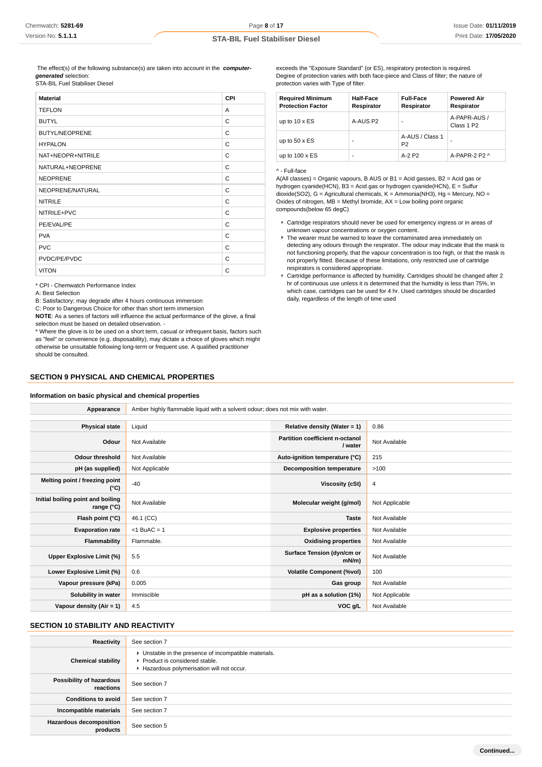The effect(s) of the following substance(s) are taken into account in the **computergenerated** selection: STA-BIL Fuel Stabiliser Diesel

| <b>Material</b>       | <b>CPI</b> |
|-----------------------|------------|
| <b>TEFLON</b>         | A          |
| <b>BUTYL</b>          | C          |
| <b>BUTYL/NEOPRENE</b> | C          |
| <b>HYPALON</b>        | C          |
| NAT+NEOPR+NITRILE     | C          |
| NATURAL+NEOPRENE      | C          |
| <b>NEOPRENE</b>       | C          |
| NEOPRENE/NATURAL      | C          |
| <b>NITRILE</b>        | C          |
| NITRILE+PVC           | C          |
| PE/EVAL/PE            | C          |
| <b>PVA</b>            | C          |
| <b>PVC</b>            | C          |
| PVDC/PE/PVDC          | C          |
| <b>VITON</b>          | C          |

\* CPI - Chemwatch Performance Index

A: Best Selection

B: Satisfactory; may degrade after 4 hours continuous immersion

C: Poor to Dangerous Choice for other than short term immersion

**NOTE**: As a series of factors will influence the actual performance of the glove, a final selection must be based on detailed observation. -

\* Where the glove is to be used on a short term, casual or infrequent basis, factors such as "feel" or convenience (e.g. disposability), may dictate a choice of gloves which might otherwise be unsuitable following long-term or frequent use. A qualified practitioner should be consulted.

### **SECTION 9 PHYSICAL AND CHEMICAL PROPERTIES**

### **Information on basic physical and chemical properties**

exceeds the "Exposure Standard" (or ES), respiratory protection is required. Degree of protection varies with both face-piece and Class of filter; the nature of protection varies with Type of filter.

| <b>Required Minimum</b><br><b>Protection Factor</b> | Half-Face<br>Respirator | <b>Full-Face</b><br>Respirator    | <b>Powered Air</b><br>Respirator       |
|-----------------------------------------------------|-------------------------|-----------------------------------|----------------------------------------|
| up to $10 \times ES$                                | A-AUS P2                | ۰                                 | A-PAPR-AUS /<br>Class 1 P <sub>2</sub> |
| up to $50 \times ES$                                |                         | A-AUS / Class 1<br>P <sub>2</sub> |                                        |
| up to $100 \times ES$                               | ۰                       | $A-2$ P <sub>2</sub>              | A-PAPR-2 P2 ^                          |

### ^ - Full-face

A(All classes) = Organic vapours, B AUS or B1 = Acid gasses, B2 = Acid gas or hydrogen cyanide(HCN), B3 = Acid gas or hydrogen cyanide(HCN), E = Sulfur dioxide(SO2), G = Agricultural chemicals, K = Ammonia(NH3), Hg = Mercury, NO = Oxides of nitrogen,  $MB =$  Methyl bromide,  $AX =$  Low boiling point organic compounds(below 65 degC)

- Cartridge respirators should never be used for emergency ingress or in areas of unknown vapour concentrations or oxygen content.
- The wearer must be warned to leave the contaminated area immediately on detecting any odours through the respirator. The odour may indicate that the mask is not functioning properly, that the vapour concentration is too high, or that the mask is not properly fitted. Because of these limitations, only restricted use of cartridge respirators is considered appropriate.
- Cartridge performance is affected by humidity. Cartridges should be changed after 2 hr of continuous use unless it is determined that the humidity is less than 75%, in which case, cartridges can be used for 4 hr. Used cartridges should be discarded daily, regardless of the length of time used

| Appearance                                      | Amber highly flammable liquid with a solvent odour; does not mix with water. |                                                   |                |
|-------------------------------------------------|------------------------------------------------------------------------------|---------------------------------------------------|----------------|
|                                                 |                                                                              |                                                   |                |
| <b>Physical state</b>                           | Liquid                                                                       | Relative density (Water = 1)                      | 0.86           |
| Odour                                           | Not Available                                                                | <b>Partition coefficient n-octanol</b><br>/ water | Not Available  |
| <b>Odour threshold</b>                          | Not Available                                                                | Auto-ignition temperature (°C)                    | 215            |
| pH (as supplied)                                | Not Applicable                                                               | <b>Decomposition temperature</b>                  | >100           |
| Melting point / freezing point<br>$(^{\circ}C)$ | $-40$                                                                        | Viscosity (cSt)                                   | 4              |
| Initial boiling point and boiling<br>range (°C) | Not Available                                                                | Molecular weight (g/mol)                          | Not Applicable |
| Flash point (°C)                                | 46.1 (CC)                                                                    | <b>Taste</b>                                      | Not Available  |
| <b>Evaporation rate</b>                         | $<$ 1 BuAC = 1                                                               | <b>Explosive properties</b>                       | Not Available  |
| <b>Flammability</b>                             | Flammable.                                                                   | <b>Oxidising properties</b>                       | Not Available  |
| Upper Explosive Limit (%)                       | 5.5                                                                          | Surface Tension (dyn/cm or<br>$mN/m$ )            | Not Available  |
| Lower Explosive Limit (%)                       | 0.6                                                                          | <b>Volatile Component (%vol)</b>                  | 100            |
| Vapour pressure (kPa)                           | 0.005                                                                        | Gas group                                         | Not Available  |
| Solubility in water                             | Immiscible                                                                   | pH as a solution (1%)                             | Not Applicable |
| Vapour density (Air = $1$ )                     | 4.5                                                                          | VOC g/L                                           | Not Available  |
|                                                 |                                                                              |                                                   |                |

# **SECTION 10 STABILITY AND REACTIVITY**

| Reactivity                                 | See section 7                                                                                                                        |
|--------------------------------------------|--------------------------------------------------------------------------------------------------------------------------------------|
| <b>Chemical stability</b>                  | • Unstable in the presence of incompatible materials.<br>▶ Product is considered stable.<br>Hazardous polymerisation will not occur. |
| Possibility of hazardous<br>reactions      | See section 7                                                                                                                        |
| <b>Conditions to avoid</b>                 | See section 7                                                                                                                        |
| Incompatible materials                     | See section 7                                                                                                                        |
| <b>Hazardous decomposition</b><br>products | See section 5                                                                                                                        |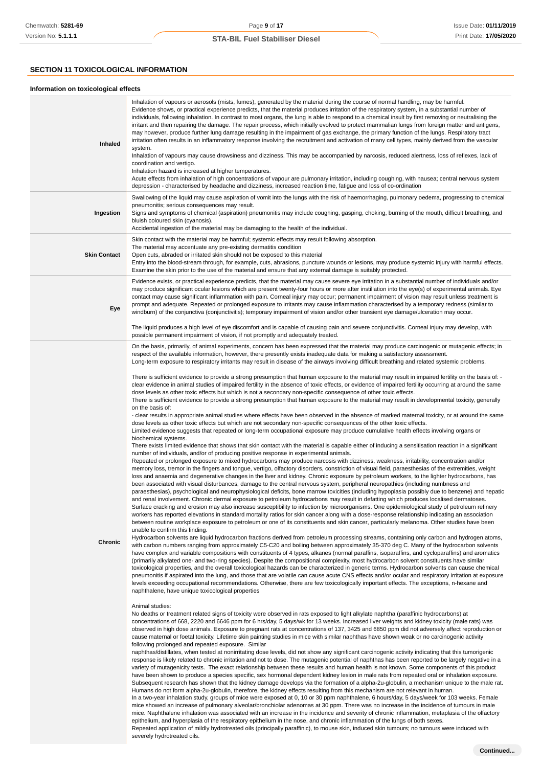# **SECTION 11 TOXICOLOGICAL INFORMATION**

### **Information on toxicological effects**

| <b>Inhaled</b>      | Inhalation of vapours or aerosols (mists, fumes), generated by the material during the course of normal handling, may be harmful.<br>Evidence shows, or practical experience predicts, that the material produces irritation of the respiratory system, in a substantial number of<br>individuals, following inhalation. In contrast to most organs, the lung is able to respond to a chemical insult by first removing or neutralising the<br>irritant and then repairing the damage. The repair process, which initially evolved to protect mammalian lungs from foreign matter and antigens,<br>may however, produce further lung damage resulting in the impairment of gas exchange, the primary function of the lungs. Respiratory tract<br>irritation often results in an inflammatory response involving the recruitment and activation of many cell types, mainly derived from the vascular<br>system.<br>Inhalation of vapours may cause drowsiness and dizziness. This may be accompanied by narcosis, reduced alertness, loss of reflexes, lack of<br>coordination and vertigo.<br>Inhalation hazard is increased at higher temperatures.<br>Acute effects from inhalation of high concentrations of vapour are pulmonary irritation, including coughing, with nausea; central nervous system<br>depression - characterised by headache and dizziness, increased reaction time, fatigue and loss of co-ordination                                                                                                                                                                                                                                                                                                                                                                                                                                                                                                                                                                                                                                                                                                                                                                                                                                                                                                                                                                                                                                                                                                                                                                                                                                                                                                                                                                                                                                                                                                                                                                                                                                                                                                                                                                                                                                                                                                                                                                                                                                                                                                                                                                                                                                                                                                                                                                                                                                                                                                                                                                                                                                                                                                                                                                                                                                                                                                                                                                                                                                                                                                                                                                                                                                                                                                                                                                                                                                                                                                                                                                                                                                                                                                                                                                                                                                                                                                                                                                                                                                                                                                                                                                                                                                                                                                                                                                                                                                                                                                                                                                                                                                                                                                                                                                                           |
|---------------------|------------------------------------------------------------------------------------------------------------------------------------------------------------------------------------------------------------------------------------------------------------------------------------------------------------------------------------------------------------------------------------------------------------------------------------------------------------------------------------------------------------------------------------------------------------------------------------------------------------------------------------------------------------------------------------------------------------------------------------------------------------------------------------------------------------------------------------------------------------------------------------------------------------------------------------------------------------------------------------------------------------------------------------------------------------------------------------------------------------------------------------------------------------------------------------------------------------------------------------------------------------------------------------------------------------------------------------------------------------------------------------------------------------------------------------------------------------------------------------------------------------------------------------------------------------------------------------------------------------------------------------------------------------------------------------------------------------------------------------------------------------------------------------------------------------------------------------------------------------------------------------------------------------------------------------------------------------------------------------------------------------------------------------------------------------------------------------------------------------------------------------------------------------------------------------------------------------------------------------------------------------------------------------------------------------------------------------------------------------------------------------------------------------------------------------------------------------------------------------------------------------------------------------------------------------------------------------------------------------------------------------------------------------------------------------------------------------------------------------------------------------------------------------------------------------------------------------------------------------------------------------------------------------------------------------------------------------------------------------------------------------------------------------------------------------------------------------------------------------------------------------------------------------------------------------------------------------------------------------------------------------------------------------------------------------------------------------------------------------------------------------------------------------------------------------------------------------------------------------------------------------------------------------------------------------------------------------------------------------------------------------------------------------------------------------------------------------------------------------------------------------------------------------------------------------------------------------------------------------------------------------------------------------------------------------------------------------------------------------------------------------------------------------------------------------------------------------------------------------------------------------------------------------------------------------------------------------------------------------------------------------------------------------------------------------------------------------------------------------------------------------------------------------------------------------------------------------------------------------------------------------------------------------------------------------------------------------------------------------------------------------------------------------------------------------------------------------------------------------------------------------------------------------------------------------------------------------------------------------------------------------------------------------------------------------------------------------------------------------------------------------------------------------------------------------------------------------------------------------------------------------------------------------------------------------------------------------------------------------------------------------------------------------------------------------------------------------------------------------------------------------------------------------------------------------------------------------------------------------------------------------------------------------------------------------------------------------------------------------------------------------------------------------------------------------------------------------------------------------------------------------------------------------------------------------------------------------------------------------------------------------------------------------------------------------------------------------------------------------------------------------------------------------------------------------------------------------------------------------------------------------------------------------------------------------------------------------------------|
| Ingestion           | Swallowing of the liquid may cause aspiration of vomit into the lungs with the risk of haemorrhaging, pulmonary oedema, progressing to chemical<br>pneumonitis; serious consequences may result.<br>Signs and symptoms of chemical (aspiration) pneumonitis may include coughing, gasping, choking, burning of the mouth, difficult breathing, and<br>bluish coloured skin (cyanosis).<br>Accidental ingestion of the material may be damaging to the health of the individual.                                                                                                                                                                                                                                                                                                                                                                                                                                                                                                                                                                                                                                                                                                                                                                                                                                                                                                                                                                                                                                                                                                                                                                                                                                                                                                                                                                                                                                                                                                                                                                                                                                                                                                                                                                                                                                                                                                                                                                                                                                                                                                                                                                                                                                                                                                                                                                                                                                                                                                                                                                                                                                                                                                                                                                                                                                                                                                                                                                                                                                                                                                                                                                                                                                                                                                                                                                                                                                                                                                                                                                                                                                                                                                                                                                                                                                                                                                                                                                                                                                                                                                                                                                                                                                                                                                                                                                                                                                                                                                                                                                                                                                                                                                                                                                                                                                                                                                                                                                                                                                                                                                                                                                                                                                                                                                                                                                                                                                                                                                                                                                                                                                                                                                                                        |
| <b>Skin Contact</b> | Skin contact with the material may be harmful; systemic effects may result following absorption.<br>The material may accentuate any pre-existing dermatitis condition<br>Open cuts, abraded or irritated skin should not be exposed to this material<br>Entry into the blood-stream through, for example, cuts, abrasions, puncture wounds or lesions, may produce systemic injury with harmful effects.<br>Examine the skin prior to the use of the material and ensure that any external damage is suitably protected.                                                                                                                                                                                                                                                                                                                                                                                                                                                                                                                                                                                                                                                                                                                                                                                                                                                                                                                                                                                                                                                                                                                                                                                                                                                                                                                                                                                                                                                                                                                                                                                                                                                                                                                                                                                                                                                                                                                                                                                                                                                                                                                                                                                                                                                                                                                                                                                                                                                                                                                                                                                                                                                                                                                                                                                                                                                                                                                                                                                                                                                                                                                                                                                                                                                                                                                                                                                                                                                                                                                                                                                                                                                                                                                                                                                                                                                                                                                                                                                                                                                                                                                                                                                                                                                                                                                                                                                                                                                                                                                                                                                                                                                                                                                                                                                                                                                                                                                                                                                                                                                                                                                                                                                                                                                                                                                                                                                                                                                                                                                                                                                                                                                                                               |
| Eye                 | Evidence exists, or practical experience predicts, that the material may cause severe eye irritation in a substantial number of individuals and/or<br>may produce significant ocular lesions which are present twenty-four hours or more after instillation into the eye(s) of experimental animals. Eye<br>contact may cause significant inflammation with pain. Corneal injury may occur; permanent impairment of vision may result unless treatment is<br>prompt and adequate. Repeated or prolonged exposure to irritants may cause inflammation characterised by a temporary redness (similar to<br>windburn) of the conjunctiva (conjunctivitis); temporary impairment of vision and/or other transient eye damage/ulceration may occur.<br>The liquid produces a high level of eye discomfort and is capable of causing pain and severe conjunctivitis. Corneal injury may develop, with<br>possible permanent impairment of vision, if not promptly and adequately treated.                                                                                                                                                                                                                                                                                                                                                                                                                                                                                                                                                                                                                                                                                                                                                                                                                                                                                                                                                                                                                                                                                                                                                                                                                                                                                                                                                                                                                                                                                                                                                                                                                                                                                                                                                                                                                                                                                                                                                                                                                                                                                                                                                                                                                                                                                                                                                                                                                                                                                                                                                                                                                                                                                                                                                                                                                                                                                                                                                                                                                                                                                                                                                                                                                                                                                                                                                                                                                                                                                                                                                                                                                                                                                                                                                                                                                                                                                                                                                                                                                                                                                                                                                                                                                                                                                                                                                                                                                                                                                                                                                                                                                                                                                                                                                                                                                                                                                                                                                                                                                                                                                                                                                                                                                                    |
| Chronic             | On the basis, primarily, of animal experiments, concern has been expressed that the material may produce carcinogenic or mutagenic effects; in<br>respect of the available information, however, there presently exists inadequate data for making a satisfactory assessment.<br>Long-term exposure to respiratory irritants may result in disease of the airways involving difficult breathing and related systemic problems.<br>There is sufficient evidence to provide a strong presumption that human exposure to the material may result in impaired fertility on the basis of: -<br>clear evidence in animal studies of impaired fertility in the absence of toxic effects, or evidence of impaired fertility occurring at around the same<br>dose levels as other toxic effects but which is not a secondary non-specific consequence of other toxic effects.<br>There is sufficient evidence to provide a strong presumption that human exposure to the material may result in developmental toxicity, generally<br>on the basis of:<br>- clear results in appropriate animal studies where effects have been observed in the absence of marked maternal toxicity, or at around the same<br>dose levels as other toxic effects but which are not secondary non-specific consequences of the other toxic effects.<br>Limited evidence suggests that repeated or long-term occupational exposure may produce cumulative health effects involving organs or<br>biochemical systems.<br>There exists limited evidence that shows that skin contact with the material is capable either of inducing a sensitisation reaction in a significant<br>number of individuals, and/or of producing positive response in experimental animals.<br>Repeated or prolonged exposure to mixed hydrocarbons may produce narcosis with dizziness, weakness, irritability, concentration and/or<br>memory loss, tremor in the fingers and tongue, vertigo, olfactory disorders, constriction of visual field, paraesthesias of the extremities, weight<br>loss and anaemia and degenerative changes in the liver and kidney. Chronic exposure by petroleum workers, to the lighter hydrocarbons, has<br>been associated with visual disturbances, damage to the central nervous system, peripheral neuropathies (including numbness and<br>paraesthesias), psychological and neurophysiological deficits, bone marrow toxicities (including hypoplasia possibly due to benzene) and hepatic<br>and renal involvement. Chronic dermal exposure to petroleum hydrocarbons may result in defatting which produces localised dermatoses.<br>Surface cracking and erosion may also increase susceptibility to infection by microorganisms. One epidemiological study of petroleum refinery<br>workers has reported elevations in standard mortality ratios for skin cancer along with a dose-response relationship indicating an association<br>between routine workplace exposure to petroleum or one of its constituents and skin cancer, particularly melanoma. Other studies have been<br>unable to confirm this finding.<br>Hydrocarbon solvents are liquid hydrocarbon fractions derived from petroleum processing streams, containing only carbon and hydrogen atoms,<br>with carbon numbers ranging from approximately C5-C20 and boiling between approximately 35-370 deg C. Many of the hydrocarbon solvents<br>have complex and variable compositions with constituents of 4 types, alkanes (normal paraffins, isoparaffins, and cycloparaffins) and aromatics<br>(primarily alkylated one- and two-ring species). Despite the compositional complexity, most hydrocarbon solvent constituents have similar<br>toxicological properties, and the overall toxicological hazards can be characterized in generic terms. Hydrocarbon solvents can cause chemical<br>pneumonitis if aspirated into the lung, and those that are volatile can cause acute CNS effects and/or ocular and respiratory irritation at exposure<br>levels exceeding occupational recommendations. Otherwise, there are few toxicologically important effects. The exceptions, n-hexane and<br>naphthalene, have unique toxicological properties<br>Animal studies:<br>No deaths or treatment related signs of toxicity were observed in rats exposed to light alkylate naphtha (paraffinic hydrocarbons) at<br>concentrations of 668, 2220 and 6646 ppm for 6 hrs/day, 5 days/wk for 13 weeks. Increased liver weights and kidney toxicity (male rats) was<br>observed in high dose animals. Exposure to pregnant rats at concentrations of 137, 3425 and 6850 ppm did not adversely affect reproduction or<br>cause maternal or foetal toxicity. Lifetime skin painting studies in mice with similar naphthas have shown weak or no carcinogenic activity<br>following prolonged and repeated exposure. Similar<br>naphthas/distillates, when tested at nonirritating dose levels, did not show any significant carcinogenic activity indicating that this tumorigenic<br>response is likely related to chronic irritation and not to dose. The mutagenic potential of naphthas has been reported to be largely negative in a<br>variety of mutagenicity tests. The exact relationship between these results and human health is not known. Some components of this product<br>have been shown to produce a species specific, sex hormonal dependent kidney lesion in male rats from repeated oral or inhalation exposure.<br>Subsequent research has shown that the kidney damage develops via the formation of a alpha-2u-globulin, a mechanism unique to the male rat.<br>Humans do not form alpha-2u-globulin, therefore, the kidney effects resulting from this mechanism are not relevant in human.<br>In a two-year inhalation study, groups of mice were exposed at 0, 10 or 30 ppm naphthalene, 6 hours/day, 5 days/week for 103 weeks. Female<br>mice showed an increase of pulmonary alveolar/bronchiolar adenomas at 30 ppm. There was no increase in the incidence of tumours in male<br>mice. Naphthalene inhalation was associated with an increase in the incidence and severity of chronic inflammation, metaplasia of the olfactory |

epithelium, and hyperplasia of the respiratory epithelium in the nose, and chronic inflammation of the lungs of both sexes.

severely hydrotreated oils.

Repeated application of mildly hydrotreated oils (principally paraffinic), to mouse skin, induced skin tumours; no tumours were induced with

**Continued...**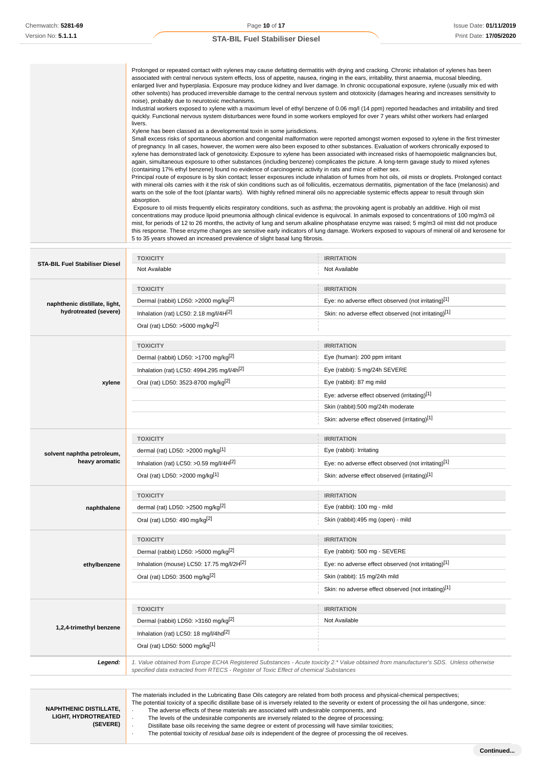Prolonged or repeated contact with xylenes may cause defatting dermatitis with drying and cracking. Chronic inhalation of xylenes has been associated with central nervous system effects, loss of appetite, nausea, ringing in the ears, irritability, thirst anaemia, mucosal bleeding, enlarged liver and hyperplasia. Exposure may produce kidney and liver damage. In chronic occupational exposure, xylene (usually mix ed with other solvents) has produced irreversible damage to the central nervous system and ototoxicity (damages hearing and increases sensitivity to noise), probably due to neurotoxic mechanisms.

Industrial workers exposed to xylene with a maximum level of ethyl benzene of 0.06 mg/l (14 ppm) reported headaches and irritability and tired quickly. Functional nervous system disturbances were found in some workers employed for over 7 years whilst other workers had enlarged livers.

Xylene has been classed as a developmental toxin in some jurisdictions.

Small excess risks of spontaneous abortion and congenital malformation were reported amongst women exposed to xylene in the first trimester of pregnancy. In all cases, however, the women were also been exposed to other substances. Evaluation of workers chronically exposed to xylene has demonstrated lack of genotoxicity. Exposure to xylene has been associated with increased risks of haemopoietic malignancies but, again, simultaneous exposure to other substances (including benzene) complicates the picture. A long-term gavage study to mixed xylenes (containing 17% ethyl benzene) found no evidence of carcinogenic activity in rats and mice of either sex.

Principal route of exposure is by skin contact; lesser exposures include inhalation of fumes from hot oils, oil mists or droplets. Prolonged contact with mineral oils carries with it the risk of skin conditions such as oil folliculitis, eczematous dermatitis, pigmentation of the face (melanosis) and warts on the sole of the foot (plantar warts). With highly refined mineral oils no appreciable systemic effects appear to result through skin absorption.

 Exposure to oil mists frequently elicits respiratory conditions, such as asthma; the provoking agent is probably an additive. High oil mist concentrations may produce lipoid pneumonia although clinical evidence is equivocal. In animals exposed to concentrations of 100 mg/m3 oil mist, for periods of 12 to 26 months, the activity of lung and serum alkaline phosphatase enzyme was raised; 5 mg/m3 oil mist did not produce this response. These enzyme changes are sensitive early indicators of lung damage. Workers exposed to vapours of mineral oil and kerosene for 5 to 35 years showed an increased prevalence of slight basal lung fibrosis.

|                                       | <b>TOXICITY</b>                                                                        | <b>IRRITATION</b>                                                                                                                                                                                                                                                                     |
|---------------------------------------|----------------------------------------------------------------------------------------|---------------------------------------------------------------------------------------------------------------------------------------------------------------------------------------------------------------------------------------------------------------------------------------|
| <b>STA-BIL Fuel Stabiliser Diesel</b> | Not Available                                                                          | Not Available                                                                                                                                                                                                                                                                         |
|                                       | <b>TOXICITY</b>                                                                        | <b>IRRITATION</b>                                                                                                                                                                                                                                                                     |
| naphthenic distillate, light,         | Dermal (rabbit) LD50: >2000 mg/kg <sup>[2]</sup>                                       | Eye: no adverse effect observed (not irritating)[1]                                                                                                                                                                                                                                   |
| hydrotreated (severe)                 | Inhalation (rat) LC50: 2.18 mg/l/4H[2]                                                 | Skin: no adverse effect observed (not irritating)[1]                                                                                                                                                                                                                                  |
|                                       | Oral (rat) LD50: >5000 mg/kg <sup>[2]</sup>                                            |                                                                                                                                                                                                                                                                                       |
|                                       | <b>TOXICITY</b>                                                                        | <b>IRRITATION</b>                                                                                                                                                                                                                                                                     |
|                                       | Dermal (rabbit) LD50: >1700 mg/kg <sup>[2]</sup>                                       | Eye (human): 200 ppm irritant                                                                                                                                                                                                                                                         |
|                                       | Inhalation (rat) LC50: 4994.295 mg/l/4h <sup>[2]</sup>                                 | Eye (rabbit): 5 mg/24h SEVERE                                                                                                                                                                                                                                                         |
| xylene                                | Oral (rat) LD50: 3523-8700 mg/kg <sup>[2]</sup>                                        | Eye (rabbit): 87 mg mild                                                                                                                                                                                                                                                              |
|                                       |                                                                                        | Eye: adverse effect observed (irritating)[1]                                                                                                                                                                                                                                          |
|                                       |                                                                                        | Skin (rabbit):500 mg/24h moderate                                                                                                                                                                                                                                                     |
|                                       |                                                                                        | Skin: adverse effect observed (irritating)[1]                                                                                                                                                                                                                                         |
|                                       | <b>TOXICITY</b>                                                                        | <b>IRRITATION</b>                                                                                                                                                                                                                                                                     |
| solvent naphtha petroleum,            | dermal (rat) LD50: >2000 mg/kg <sup>[1]</sup>                                          | Eye (rabbit): Irritating                                                                                                                                                                                                                                                              |
| heavy aromatic                        | Inhalation (rat) LC50: >0.59 mg/l/4H $^{[2]}$                                          | Eye: no adverse effect observed (not irritating)[1]                                                                                                                                                                                                                                   |
|                                       | Oral (rat) LD50: >2000 mg/kg[1]                                                        | Skin: adverse effect observed (irritating)[1]                                                                                                                                                                                                                                         |
|                                       | <b>TOXICITY</b>                                                                        | <b>IRRITATION</b>                                                                                                                                                                                                                                                                     |
| naphthalene                           | dermal (rat) LD50: >2500 mg/kg <sup>[2]</sup>                                          | Eye (rabbit): 100 mg - mild                                                                                                                                                                                                                                                           |
|                                       | Oral (rat) LD50: 490 mg/kg <sup>[2]</sup>                                              | Skin (rabbit):495 mg (open) - mild                                                                                                                                                                                                                                                    |
|                                       | <b>TOXICITY</b>                                                                        | <b>IRRITATION</b>                                                                                                                                                                                                                                                                     |
|                                       | Dermal (rabbit) LD50: >5000 mg/kg <sup>[2]</sup>                                       | Eye (rabbit): 500 mg - SEVERE                                                                                                                                                                                                                                                         |
| ethylbenzene                          | Inhalation (mouse) LC50: 17.75 mg/l/2H[2]                                              | Eye: no adverse effect observed (not irritating)[1]                                                                                                                                                                                                                                   |
|                                       | Oral (rat) LD50: 3500 mg/kg <sup>[2]</sup>                                             | Skin (rabbit): 15 mg/24h mild                                                                                                                                                                                                                                                         |
|                                       |                                                                                        | Skin: no adverse effect observed (not irritating)[1]                                                                                                                                                                                                                                  |
|                                       | <b>TOXICITY</b>                                                                        | <b>IRRITATION</b>                                                                                                                                                                                                                                                                     |
|                                       | Dermal (rabbit) LD50: >3160 mg/kg <sup>[2]</sup>                                       | Not Available                                                                                                                                                                                                                                                                         |
| 1,2,4-trimethyl benzene               | Inhalation (rat) LC50: 18 mg/l/4hd <sup>[2]</sup>                                      |                                                                                                                                                                                                                                                                                       |
|                                       | Oral (rat) LD50: 5000 mg/kg <sup>[1]</sup>                                             |                                                                                                                                                                                                                                                                                       |
| Legend:                               | specified data extracted from RTECS - Register of Toxic Effect of chemical Substances  | 1. Value obtained from Europe ECHA Registered Substances - Acute toxicity 2.* Value obtained from manufacturer's SDS. Unless otherwise                                                                                                                                                |
| <b>NAPHTHENIC DISTILLATE</b>          | The adverse effects of these materials are associated with undesirable components, and | The materials included in the Lubricating Base Oils category are related from both process and physical-chemical perspectives;<br>The potential toxicity of a specific distillate base oil is inversely related to the severity or extent of processing the oil has undergone, since: |

**LIGHT, HYDROTREATED (SEVERE)**

The adverse effects of these materials are associated with undesirable components, and · The levels of the undesirable components are inversely related to the degree of processing; · Distillate base oils receiving the same degree or extent of processing will have similar toxicities; The potential toxicity of residual base oils is independent of the degree of processing the oil receives.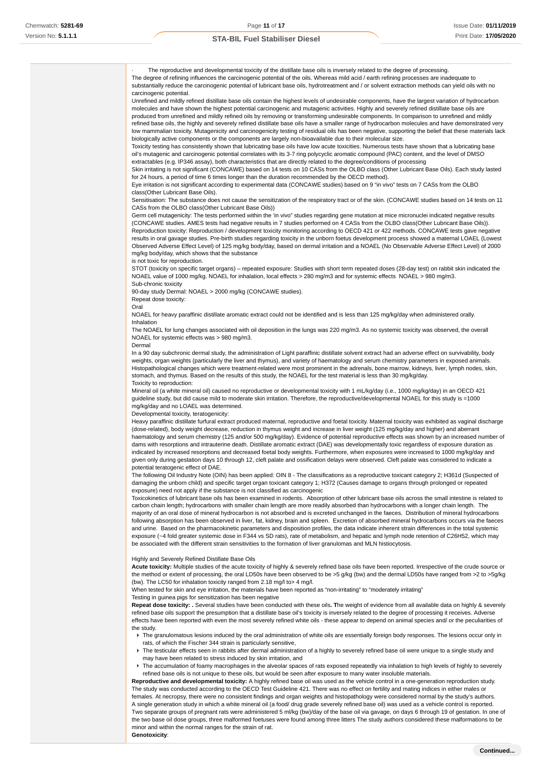The reproductive and developmental toxicity of the distillate base oils is inversely related to the degree of processing. The degree of refining influences the carcinogenic potential of the oils. Whereas mild acid / earth refining processes are inadequate to substantially reduce the carcinogenic potential of lubricant base oils, hydrotreatment and / or solvent extraction methods can yield oils with no carcinogenic potential.

Unrefined and mildly refined distillate base oils contain the highest levels of undesirable components, have the largest variation of hydrocarbon molecules and have shown the highest potential carcinogenic and mutagenic activities. Highly and severely refined distillate base oils are produced from unrefined and mildly refined oils by removing or transforming undesirable components. In comparison to unrefined and mildly refined base oils, the highly and severely refined distillate base oils have a smaller range of hydrocarbon molecules and have demonstrated very low mammalian toxicity. Mutagenicity and carcinogenicity testing of residual oils has been negative, supporting the belief that these materials lack biologically active components or the components are largely non-bioavailable due to their molecular size.

Toxicity testing has consistently shown that lubricating base oils have low acute toxicities. Numerous tests have shown that a lubricating base oil's mutagenic and carcinogenic potential correlates with its 3-7 ring polycyclic aromatic compound (PAC) content, and the level of DMSO extractables (e.g. IP346 assay), both characteristics that are directly related to the degree/conditions of processing

Skin irritating is not significant (CONCAWE) based on 14 tests on 10 CASs from the OLBO class (Other Lubricant Base Oils). Each study lasted for 24 hours, a period of time 6 times longer than the duration recommended by the OECD method).

Eye irritation is not significant according to experimental data (CONCAWE studies) based on 9 "in vivo" tests on 7 CASs from the OLBO class(Other Lubricant Base Oils).

Sensitisation: The substance does not cause the sensitization of the respiratory tract or of the skin. (CONCAWE studies based on 14 tests on 11 CASs from the OLBO class(Other Lubricant Base Oils))

Germ cell mutagenicity: The tests performed within the 'in vivo" studies regarding gene mutation at mice micronuclei indicated negative results (CONCAWE studies. AMES tests had negative results in 7 studies performed on 4 CASs from the OLBO class(Other Lubricant Base Oils)). Reproduction toxicity: Reproduction / development toxicity monitoring according to OECD 421 or 422 methods. CONCAWE tests gave negative results in oral gavage studies. Pre-birth studies regarding toxicity in the unborn foetus development process showed a maternal LOAEL (Lowest Observed Adverse Effect Level) of 125 mg/kg body/day, based on dermal irritation and a NOAEL (No Observable Adverse Effect Level) of 2000 mg/kg body/day, which shows that the substance

is not toxic for reproduction.

STOT (toxicity on specific target organs) – repeated exposure: Studies with short term repeated doses (28-day test) on rabbit skin indicated the NOAEL value of 1000 mg/kg. NOAEL for inhalation, local effects > 280 mg/m3 and for systemic effects NOAEL > 980 mg/m3. Sub-chronic toxicity

90-day study Dermal: NOAEL > 2000 mg/kg (CONCAWE studies).

Repeat dose toxicity:

Oral

NOAEL for heavy paraffinic distillate aromatic extract could not be identified and is less than 125 mg/kg/day when administered orally. Inhalation

The NOAEL for lung changes associated with oil deposition in the lungs was 220 mg/m3. As no systemic toxicity was observed, the overall NOAEL for systemic effects was > 980 mg/m3.

Dermal

In a 90 day subchronic dermal study, the administration of Light paraffinic distillate solvent extract had an adverse effect on survivability, body weights, organ weights (particularly the liver and thymus), and variety of haematology and serum chemistry parameters in exposed animals. Histopathological changes which were treatment-related were most prominent in the adrenals, bone marrow, kidneys, liver, lymph nodes, skin, stomach, and thymus. Based on the results of this study, the NOAEL for the test material is less than 30 mg/kg/day. Toxicity to reproduction:

Mineral oil (a white mineral oil) caused no reproductive or developmental toxicity with 1 mL/kg/day (i.e., 1000 mg/kg/day) in an OECD 421 guideline study, but did cause mild to moderate skin irritation. Therefore, the reproductive/developmental NOAEL for this study is =1000 mg/kg/day and no LOAEL was determined.

### Developmental toxicity, teratogenicity:

Heavy paraffinic distillate furfural extract produced maternal, reproductive and foetal toxicity. Maternal toxicity was exhibited as vaginal discharge (dose-related), body weight decrease, reduction in thymus weight and increase in liver weight (125 mg/kg/day and higher) and aberrant haematology and serum chemistry (125 and/or 500 mg/kg/day). Evidence of potential reproductive effects was shown by an increased number of dams with resorptions and intrauterine death. Distillate aromatic extract (DAE) was developmentally toxic regardless of exposure duration as indicated by increased resorptions and decreased foetal body weights. Furthermore, when exposures were increased to 1000 mg/kg/day and given only during gestation days 10 through 12, cleft palate and ossification delays were observed. Cleft palate was considered to indicate a potential teratogenic effect of DAE.

The following Oil Industry Note (OIN) has been applied: OIN 8 - The classifications as a reproductive toxicant category 2; H361d (Suspected of damaging the unborn child) and specific target organ toxicant category 1; H372 (Causes damage to organs through prolonged or repeated exposure) need not apply if the substance is not classified as carcinogenic

Toxicokinetics of lubricant base oils has been examined in rodents. Absorption of other lubricant base oils across the small intestine is related to carbon chain length; hydrocarbons with smaller chain length are more readily absorbed than hydrocarbons with a longer chain length. The majority of an oral dose of mineral hydrocarbon is not absorbed and is excreted unchanged in the faeces. Distribution of mineral hydrocarbons following absorption has been observed in liver, fat, kidney, brain and spleen. Excretion of absorbed mineral hydrocarbons occurs via the faeces and urine. Based on the pharmacokinetic parameters and disposition profiles, the data indicate inherent strain differences in the total systemic exposure (~4 fold greater systemic dose in F344 vs SD rats), rate of metabolism, and hepatic and lymph node retention of C26H52, which may be associated with the different strain sensitivities to the formation of liver granulomas and MLN histiocytosis.

### Highly and Severely Refined Distillate Base Oils

**Acute toxicity:** Multiple studies of the acute toxicity of highly & severely refined base oils have been reported. Irrespective of the crude source or the method or extent of processing, the oral LD50s have been observed to be >5 g/kg (bw) and the dermal LD50s have ranged from >2 to >5g/kg (bw). The LC50 for inhalation toxicity ranged from 2.18 mg/l to> 4 mg/l.

When tested for skin and eye irritation, the materials have been reported as "non-irritating" to "moderately irritating"

# Testing in guinea pigs for sensitization has been negative

**Repeat dose toxicity: .** Several studies have been conducted with these oils**. T**he weight of evidence from all available data on highly & severely refined base oils support the presumption that a distillate base oil's toxicity is inversely related to the degree of processing it receives. Adverse effects have been reported with even the most severely refined white oils - these appear to depend on animal species and/ or the peculiarities of the study.

- ▶ The granulomatous lesions induced by the oral administration of white oils are essentially foreign body responses. The lesions occur only in rats, of which the Fischer 344 strain is particularly sensitive,
- ▶ The testicular effects seen in rabbits after dermal administration of a highly to severely refined base oil were unique to a single study and may have been related to stress induced by skin irritation, and
- The accumulation of foamy macrophages in the alveolar spaces of rats exposed repeatedly via inhalation to high levels of highly to severely refined base oils is not unique to these oils, but would be seen after exposure to many water insoluble materials.

**Reproductive and developmental toxicity:** A highly refined base oil was used as the vehicle control in a one-generation reproduction study. The study was conducted according to the OECD Test Guideline 421. There was no effect on fertility and mating indices in either males or females. At necropsy, there were no consistent findings and organ weights and histopathology were considered normal by the study's authors. A single generation study in which a white mineral oil (a food/ drug grade severely refined base oil) was used as a vehicle control is reported. Two separate groups of pregnant rats were administered 5 ml/kg (bw)/day of the base oil via gavage, on days 6 through 19 of gestation. In one of the two base oil dose groups, three malformed foetuses were found among three litters The study authors considered these malformations to be minor and within the normal ranges for the strain of rat. **Genotoxicity**: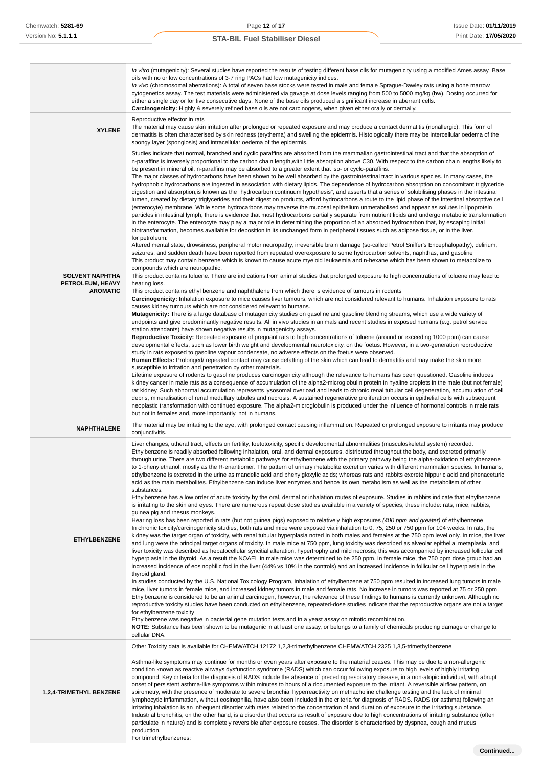|                                                               | In vitro (mutagenicity): Several studies have reported the results of testing different base oils for mutagenicity using a modified Ames assay Base<br>oils with no or low concentrations of 3-7 ring PACs had low mutagenicity indices.<br>In vivo (chromosomal aberrations): A total of seven base stocks were tested in male and female Sprague-Dawley rats using a bone marrow<br>cytogenetics assay. The test materials were administered via gavage at dose levels ranging from 500 to 5000 mg/kg (bw). Dosing occurred for<br>either a single day or for five consecutive days. None of the base oils produced a significant increase in aberrant cells.<br>Carcinogenicity: Highly & severely refined base oils are not carcinogens, when given either orally or dermally.                                                                                                                                                                                                                                                                                                                                                                                                                                                                                                                                                                                                                                                                                                                                                                                                                                                                                                                                                                                                                                                                                                                                                                                                                                                                                                                                                                                                                                                                                                                                                                                                                                                                                                                                                                                                                                                                                                                                                                                                                                                                                                                                                                                                                                                                                                                                                                                                                                                                                                                                                                                                                                                                                                                                                                                                                                                                                                                                                                                                                                                                                                                                                                                                                                                                                                                                                                                                                                                                                                                                                                                                                             |
|---------------------------------------------------------------|----------------------------------------------------------------------------------------------------------------------------------------------------------------------------------------------------------------------------------------------------------------------------------------------------------------------------------------------------------------------------------------------------------------------------------------------------------------------------------------------------------------------------------------------------------------------------------------------------------------------------------------------------------------------------------------------------------------------------------------------------------------------------------------------------------------------------------------------------------------------------------------------------------------------------------------------------------------------------------------------------------------------------------------------------------------------------------------------------------------------------------------------------------------------------------------------------------------------------------------------------------------------------------------------------------------------------------------------------------------------------------------------------------------------------------------------------------------------------------------------------------------------------------------------------------------------------------------------------------------------------------------------------------------------------------------------------------------------------------------------------------------------------------------------------------------------------------------------------------------------------------------------------------------------------------------------------------------------------------------------------------------------------------------------------------------------------------------------------------------------------------------------------------------------------------------------------------------------------------------------------------------------------------------------------------------------------------------------------------------------------------------------------------------------------------------------------------------------------------------------------------------------------------------------------------------------------------------------------------------------------------------------------------------------------------------------------------------------------------------------------------------------------------------------------------------------------------------------------------------------------------------------------------------------------------------------------------------------------------------------------------------------------------------------------------------------------------------------------------------------------------------------------------------------------------------------------------------------------------------------------------------------------------------------------------------------------------------------------------------------------------------------------------------------------------------------------------------------------------------------------------------------------------------------------------------------------------------------------------------------------------------------------------------------------------------------------------------------------------------------------------------------------------------------------------------------------------------------------------------------------------------------------------------------------------------------------------------------------------------------------------------------------------------------------------------------------------------------------------------------------------------------------------------------------------------------------------------------------------------------------------------------------------------------------------------------------------------------------------------------------------------------------------------|
| <b>XYLENE</b>                                                 | Reproductive effector in rats<br>The material may cause skin irritation after prolonged or repeated exposure and may produce a contact dermatitis (nonallergic). This form of<br>dermatitis is often characterised by skin redness (erythema) and swelling the epidermis. Histologically there may be intercellular oedema of the<br>spongy layer (spongiosis) and intracellular oedema of the epidermis.                                                                                                                                                                                                                                                                                                                                                                                                                                                                                                                                                                                                                                                                                                                                                                                                                                                                                                                                                                                                                                                                                                                                                                                                                                                                                                                                                                                                                                                                                                                                                                                                                                                                                                                                                                                                                                                                                                                                                                                                                                                                                                                                                                                                                                                                                                                                                                                                                                                                                                                                                                                                                                                                                                                                                                                                                                                                                                                                                                                                                                                                                                                                                                                                                                                                                                                                                                                                                                                                                                                                                                                                                                                                                                                                                                                                                                                                                                                                                                                                      |
| <b>SOLVENT NAPHTHA</b><br>PETROLEUM, HEAVY<br><b>AROMATIC</b> | Studies indicate that normal, branched and cyclic paraffins are absorbed from the mammalian gastrointestinal tract and that the absorption of<br>n-paraffins is inversely proportional to the carbon chain length, with little absorption above C30. With respect to the carbon chain lengths likely to<br>be present in mineral oil, n-paraffins may be absorbed to a greater extent that iso- or cyclo-paraffins.<br>The major classes of hydrocarbons have been shown to be well absorbed by the gastrointestinal tract in various species. In many cases, the<br>hydrophobic hydrocarbons are ingested in association with dietary lipids. The dependence of hydrocarbon absorption on concomitant triglyceride<br>digestion and absorption, is known as the "hydrocarbon continuum hypothesis", and asserts that a series of solubilising phases in the intestinal<br>lumen, created by dietary triglycerides and their digestion products, afford hydrocarbons a route to the lipid phase of the intestinal absorptive cell<br>(enterocyte) membrane. While some hydrocarbons may traverse the mucosal epithelium unmetabolised and appear as solutes in lipoprotein<br>particles in intestinal lymph, there is evidence that most hydrocarbons partially separate from nutrient lipids and undergo metabolic transformation<br>in the enterocyte. The enterocyte may play a major role in determining the proportion of an absorbed hydrocarbon that, by escaping initial<br>biotransformation, becomes available for deposition in its unchanged form in peripheral tissues such as adipose tissue, or in the liver.<br>for petroleum:<br>Altered mental state, drowsiness, peripheral motor neuropathy, irreversible brain damage (so-called Petrol Sniffer's Encephalopathy), delirium,<br>seizures, and sudden death have been reported from repeated overexposure to some hydrocarbon solvents, naphthas, and gasoline<br>This product may contain benzene which is known to cause acute myeloid leukaemia and n-hexane which has been shown to metabolize to<br>compounds which are neuropathic.<br>This product contains toluene. There are indications from animal studies that prolonged exposure to high concentrations of toluene may lead to<br>hearing loss.<br>This product contains ethyl benzene and naphthalene from which there is evidence of tumours in rodents<br>Carcinogenicity: Inhalation exposure to mice causes liver tumours, which are not considered relevant to humans. Inhalation exposure to rats<br>causes kidney tumours which are not considered relevant to humans.<br>Mutagenicity: There is a large database of mutagenicity studies on gasoline and gasoline blending streams, which use a wide variety of<br>endpoints and give predominantly negative results. All in vivo studies in animals and recent studies in exposed humans (e.g. petrol service<br>station attendants) have shown negative results in mutagenicity assays.<br>Reproductive Toxicity: Repeated exposure of pregnant rats to high concentrations of toluene (around or exceeding 1000 ppm) can cause<br>developmental effects, such as lower birth weight and developmental neurotoxicity, on the foetus. However, in a two-generation reproductive<br>study in rats exposed to gasoline vapour condensate, no adverse effects on the foetus were observed.<br>Human Effects: Prolonged/ repeated contact may cause defatting of the skin which can lead to dermatitis and may make the skin more<br>susceptible to irritation and penetration by other materials.<br>Lifetime exposure of rodents to gasoline produces carcinogenicity although the relevance to humans has been questioned. Gasoline induces<br>kidney cancer in male rats as a consequence of accumulation of the alpha2-microglobulin protein in hyaline droplets in the male (but not female)<br>rat kidney. Such abnormal accumulation represents lysosomal overload and leads to chronic renal tubular cell degeneration, accumulation of cell<br>debris, mineralisation of renal medullary tubules and necrosis. A sustained regenerative proliferation occurs in epithelial cells with subsequent<br>neoplastic transformation with continued exposure. The alpha2-microglobulin is produced under the influence of hormonal controls in male rats<br>but not in females and, more importantly, not in humans. |
| <b>NAPHTHALENE</b>                                            | The material may be irritating to the eye, with prolonged contact causing inflammation. Repeated or prolonged exposure to irritants may produce<br>conjunctivitis.                                                                                                                                                                                                                                                                                                                                                                                                                                                                                                                                                                                                                                                                                                                                                                                                                                                                                                                                                                                                                                                                                                                                                                                                                                                                                                                                                                                                                                                                                                                                                                                                                                                                                                                                                                                                                                                                                                                                                                                                                                                                                                                                                                                                                                                                                                                                                                                                                                                                                                                                                                                                                                                                                                                                                                                                                                                                                                                                                                                                                                                                                                                                                                                                                                                                                                                                                                                                                                                                                                                                                                                                                                                                                                                                                                                                                                                                                                                                                                                                                                                                                                                                                                                                                                             |
| <b>ETHYLBENZENE</b>                                           | Liver changes, utheral tract, effects on fertility, foetotoxicity, specific developmental abnormalities (musculoskeletal system) recorded.<br>Ethylbenzene is readily absorbed following inhalation, oral, and dermal exposures, distributed throughout the body, and excreted primarily<br>through urine. There are two different metabolic pathways for ethylbenzene with the primary pathway being the alpha-oxidation of ethylbenzene<br>to 1-phenylethanol, mostly as the R-enantiomer. The pattern of urinary metabolite excretion varies with different mammalian species. In humans,<br>ethylbenzene is excreted in the urine as mandelic acid and phenylgloxylic acids; whereas rats and rabbits excrete hippuric acid and phenaceturic<br>acid as the main metabolites. Ethylbenzene can induce liver enzymes and hence its own metabolism as well as the metabolism of other<br>substances.<br>Ethylbenzene has a low order of acute toxicity by the oral, dermal or inhalation routes of exposure. Studies in rabbits indicate that ethylbenzene<br>is irritating to the skin and eyes. There are numerous repeat dose studies available in a variety of species, these include: rats, mice, rabbits,<br>quinea pig and rhesus monkeys.<br>Hearing loss has been reported in rats (but not guinea pigs) exposed to relatively high exposures (400 ppm and greater) of ethylbenzene<br>In chronic toxicity/carcinogenicity studies, both rats and mice were exposed via inhalation to 0, 75, 250 or 750 ppm for 104 weeks. In rats, the<br>kidney was the target organ of toxicity, with renal tubular hyperplasia noted in both males and females at the 750 ppm level only. In mice, the liver<br>and lung were the principal target organs of toxicity. In male mice at 750 ppm, lung toxicity was described as alveolar epithelial metaplasia, and<br>liver toxicity was described as hepatocellular syncitial alteration, hypertrophy and mild necrosis; this was accompanied by increased follicular cell<br>hyperplasia in the thyroid. As a result the NOAEL in male mice was determined to be 250 ppm. In female mice, the 750 ppm dose group had an<br>increased incidence of eosinophilic foci in the liver (44% vs 10% in the controls) and an increased incidence in follicular cell hyperplasia in the<br>thyroid gland.<br>In studies conducted by the U.S. National Toxicology Program, inhalation of ethylbenzene at 750 ppm resulted in increased lung tumors in male<br>mice, liver tumors in female mice, and increased kidney tumors in male and female rats. No increase in tumors was reported at 75 or 250 ppm.<br>Ethylbenzene is considered to be an animal carcinogen, however, the relevance of these findings to humans is currently unknown. Although no<br>reproductive toxicity studies have been conducted on ethylbenzene, repeated-dose studies indicate that the reproductive organs are not a target<br>for ethylbenzene toxicity<br>Ethylbenzene was negative in bacterial gene mutation tests and in a yeast assay on mitotic recombination.<br>NOTE: Substance has been shown to be mutagenic in at least one assay, or belongs to a family of chemicals producing damage or change to                                                                                                                                                                                                                                                                                                                                                                                                                                                                                                                                                                                                                                                                                                                                                                                                                                                                                                                                                                                                                                                                                                                                                                      |
|                                                               | cellular DNA.<br>Other Toxicity data is available for CHEMWATCH 12172 1,2,3-trimethylbenzene CHEMWATCH 2325 1,3,5-trimethylbenzene                                                                                                                                                                                                                                                                                                                                                                                                                                                                                                                                                                                                                                                                                                                                                                                                                                                                                                                                                                                                                                                                                                                                                                                                                                                                                                                                                                                                                                                                                                                                                                                                                                                                                                                                                                                                                                                                                                                                                                                                                                                                                                                                                                                                                                                                                                                                                                                                                                                                                                                                                                                                                                                                                                                                                                                                                                                                                                                                                                                                                                                                                                                                                                                                                                                                                                                                                                                                                                                                                                                                                                                                                                                                                                                                                                                                                                                                                                                                                                                                                                                                                                                                                                                                                                                                             |
| <b>1,2,4-TRIMETHYL BENZENE</b>                                | Asthma-like symptoms may continue for months or even years after exposure to the material ceases. This may be due to a non-allergenic<br>condition known as reactive airways dysfunction syndrome (RADS) which can occur following exposure to high levels of highly irritating<br>compound. Key criteria for the diagnosis of RADS include the absence of preceding respiratory disease, in a non-atopic individual, with abrupt<br>onset of persistent asthma-like symptoms within minutes to hours of a documented exposure to the irritant. A reversible airflow pattern, on<br>spirometry, with the presence of moderate to severe bronchial hyperreactivity on methacholine challenge testing and the lack of minimal<br>lymphocytic inflammation, without eosinophilia, have also been included in the criteria for diagnosis of RADS. RADS (or asthma) following an<br>irritating inhalation is an infrequent disorder with rates related to the concentration of and duration of exposure to the irritating substance.<br>Industrial bronchitis, on the other hand, is a disorder that occurs as result of exposure due to high concentrations of irritating substance (often<br>particulate in nature) and is completely reversible after exposure ceases. The disorder is characterised by dyspnea, cough and mucus<br>production.<br>For trimethylbenzenes:                                                                                                                                                                                                                                                                                                                                                                                                                                                                                                                                                                                                                                                                                                                                                                                                                                                                                                                                                                                                                                                                                                                                                                                                                                                                                                                                                                                                                                                                                                                                                                                                                                                                                                                                                                                                                                                                                                                                                                                                                                                                                                                                                                                                                                                                                                                                                                                                                                                                                                                                                                                                                                                                                                                                                                                                                                                                                                                                                                                                                                        |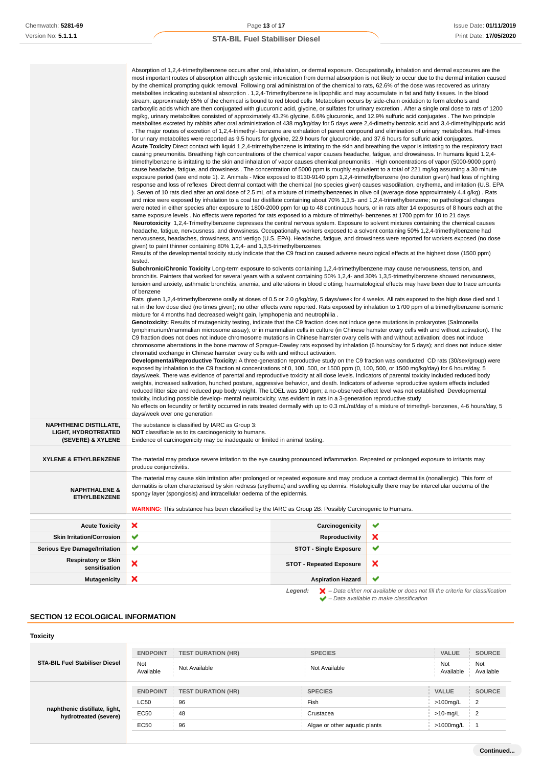|                                                                                     | Absorption of 1,2,4-trimethylbenzene occurs after oral, inhalation, or dermal exposure. Occupationally, inhalation and dermal exposures are the<br>most important routes of absorption although systemic intoxication from dermal absorption is not likely to occur due to the dermal irritation caused<br>by the chemical prompting quick removal. Following oral administration of the chemical to rats, 62.6% of the dose was recovered as urinary<br>metabolites indicating substantial absorption . 1,2,4-Trimethylbenzene is lipophilic and may accumulate in fat and fatty tissues. In the blood<br>stream, approximately 85% of the chemical is bound to red blood cells Metabolism occurs by side-chain oxidation to form alcohols and<br>carboxylic acids which are then conjugated with glucuronic acid, glycine, or sulfates for urinary excretion. After a single oral dose to rats of 1200<br>mg/kg, urinary metabolites consisted of approximately 43.2% glycine, 6.6% glucuronic, and 12.9% sulfuric acid conjugates. The two principle<br>metabolites excreted by rabbits after oral administration of 438 mg/kg/day for 5 days were 2,4-dimethylbenzoic acid and 3,4-dimethylhippuric acid<br>The major routes of excretion of 1,2,4-trimethyl- benzene are exhalation of parent compound and elimination of urinary metabolites. Half-times<br>for urinary metabolites were reported as 9.5 hours for glycine, 22.9 hours for glucuronide, and 37.6 hours for sulfuric acid conjugates.<br>Acute Toxicity Direct contact with liquid 1,2,4-trimethylbenzene is irritating to the skin and breathing the vapor is irritating to the respiratory tract<br>causing pneumonitis. Breathing high concentrations of the chemical vapor causes headache, fatigue, and drowsiness. In humans liquid 1,2,4-<br>trimethylbenzene is irritating to the skin and inhalation of vapor causes chemical pneumonitis. High concentrations of vapor (5000-9000 ppm)<br>cause headache, fatigue, and drowsiness. The concentration of 5000 ppm is roughly equivalent to a total of 221 mg/kg assuming a 30 minute<br>exposure period (see end note 1). 2. Animals - Mice exposed to 8130-9140 ppm 1,2,4-trimethylbenzene (no duration given) had loss of righting<br>response and loss of reflexes Direct dermal contact with the chemical (no species given) causes vasodilation, erythema, and irritation (U.S. EPA<br>). Seven of 10 rats died after an oral dose of 2.5 mL of a mixture of trimethylbenzenes in olive oil (average dose approximately 4.4 g/kg). Rats<br>and mice were exposed by inhalation to a coal tar distillate containing about 70% 1,3,5- and 1,2,4-trimethylbenzene; no pathological changes<br>were noted in either species after exposure to 1800-2000 ppm for up to 48 continuous hours, or in rats after 14 exposures of 8 hours each at the<br>same exposure levels. No effects were reported for rats exposed to a mixture of trimethyl- benzenes at 1700 ppm for 10 to 21 days<br>Neurotoxicity 1,2,4-Trimethylbenzene depresses the central nervous system. Exposure to solvent mixtures containing the chemical causes<br>headache, fatigue, nervousness, and drowsiness. Occupationally, workers exposed to a solvent containing 50% 1,2,4-trimethylbenzene had<br>nervousness, headaches, drowsiness, and vertigo (U.S. EPA). Headache, fatigue, and drowsiness were reported for workers exposed (no dose<br>given) to paint thinner containing 80% 1,2,4- and 1,3,5-trimethylbenzenes<br>Results of the developmental toxicity study indicate that the C9 fraction caused adverse neurological effects at the highest dose (1500 ppm)<br>tested.<br>Subchronic/Chronic Toxicity Long-term exposure to solvents containing 1,2,4-trimethylbenzene may cause nervousness, tension, and<br>bronchitis. Painters that worked for several years with a solvent containing 50% 1,2,4- and 30% 1,3,5-trimethylbenzene showed nervousness,<br>tension and anxiety, asthmatic bronchitis, anemia, and alterations in blood clotting; haematological effects may have been due to trace amounts<br>of benzene<br>Rats given 1,2,4-trimethylbenzene orally at doses of 0.5 or 2.0 g/kg/day, 5 days/week for 4 weeks. All rats exposed to the high dose died and 1<br>rat in the low dose died (no times given); no other effects were reported. Rats exposed by inhalation to 1700 ppm of a trimethylbenzene isomeric<br>mixture for 4 months had decreased weight gain, lymphopenia and neutrophilia.<br>Genotoxicity: Results of mutagenicity testing, indicate that the C9 fraction does not induce gene mutations in prokaryotes (Salmonella<br>tymphimurium/mammalian microsome assay); or in mammalian cells in culture (in Chinese hamster ovary cells with and without activation). The<br>C9 fraction does not does not induce chromosome mutations in Chinese hamster ovary cells with and without activation; does not induce<br>chromosome aberrations in the bone marrow of Sprague-Dawley rats exposed by inhalation (6 hours/day for 5 days); and does not induce sister<br>chromatid exchange in Chinese hamster ovary cells with and without activation.<br>Developmental/Reproductive Toxicity: A three-generation reproductive study on the C9 fraction was conducted CD rats (30/sex/group) were<br>exposed by inhalation to the C9 fraction at concentrations of 0, 100, 500, or 1500 ppm (0, 100, 500, or 1500 mg/kg/day) for 6 hours/day, 5<br>days/week. There was evidence of parental and reproductive toxicity at all dose levels. Indicators of parental toxicity included reduced body<br>weights, increased salivation, hunched posture, aggressive behavior, and death. Indicators of adverse reproductive system effects included<br>reduced litter size and reduced pup body weight. The LOEL was 100 ppm; a no-observed-effect level was not established Developmental<br>toxicity, including possible develop- mental neurotoxicity, was evident in rats in a 3-generation reproductive study<br>No effects on fecundity or fertility occurred in rats treated dermally with up to 0.3 mL/rat/day of a mixture of trimethyl- benzenes, 4-6 hours/day, 5<br>days/week over one generation |                                                                  |        |
|-------------------------------------------------------------------------------------|-------------------------------------------------------------------------------------------------------------------------------------------------------------------------------------------------------------------------------------------------------------------------------------------------------------------------------------------------------------------------------------------------------------------------------------------------------------------------------------------------------------------------------------------------------------------------------------------------------------------------------------------------------------------------------------------------------------------------------------------------------------------------------------------------------------------------------------------------------------------------------------------------------------------------------------------------------------------------------------------------------------------------------------------------------------------------------------------------------------------------------------------------------------------------------------------------------------------------------------------------------------------------------------------------------------------------------------------------------------------------------------------------------------------------------------------------------------------------------------------------------------------------------------------------------------------------------------------------------------------------------------------------------------------------------------------------------------------------------------------------------------------------------------------------------------------------------------------------------------------------------------------------------------------------------------------------------------------------------------------------------------------------------------------------------------------------------------------------------------------------------------------------------------------------------------------------------------------------------------------------------------------------------------------------------------------------------------------------------------------------------------------------------------------------------------------------------------------------------------------------------------------------------------------------------------------------------------------------------------------------------------------------------------------------------------------------------------------------------------------------------------------------------------------------------------------------------------------------------------------------------------------------------------------------------------------------------------------------------------------------------------------------------------------------------------------------------------------------------------------------------------------------------------------------------------------------------------------------------------------------------------------------------------------------------------------------------------------------------------------------------------------------------------------------------------------------------------------------------------------------------------------------------------------------------------------------------------------------------------------------------------------------------------------------------------------------------------------------------------------------------------------------------------------------------------------------------------------------------------------------------------------------------------------------------------------------------------------------------------------------------------------------------------------------------------------------------------------------------------------------------------------------------------------------------------------------------------------------------------------------------------------------------------------------------------------------------------------------------------------------------------------------------------------------------------------------------------------------------------------------------------------------------------------------------------------------------------------------------------------------------------------------------------------------------------------------------------------------------------------------------------------------------------------------------------------------------------------------------------------------------------------------------------------------------------------------------------------------------------------------------------------------------------------------------------------------------------------------------------------------------------------------------------------------------------------------------------------------------------------------------------------------------------------------------------------------------------------------------------------------------------------------------------------------------------------------------------------------------------------------------------------------------------------------------------------------------------------------------------------------------------------------------------------------------------------------------------------------------------------------------------------------------------------------------------------------------------------------------------------------------------------------------------------------------------------------------------------------------------------------------------------------------------------------------------------------------------------------------------------------------------------------------------------------------------------------------------------------------------------------------------|------------------------------------------------------------------|--------|
| <b>NAPHTHENIC DISTILLATE,</b><br><b>LIGHT, HYDROTREATED</b><br>(SEVERE) & XYLENE    | The substance is classified by IARC as Group 3:<br><b>NOT</b> classifiable as to its carcinogenicity to humans.<br>Evidence of carcinogenicity may be inadequate or limited in animal testing.                                                                                                                                                                                                                                                                                                                                                                                                                                                                                                                                                                                                                                                                                                                                                                                                                                                                                                                                                                                                                                                                                                                                                                                                                                                                                                                                                                                                                                                                                                                                                                                                                                                                                                                                                                                                                                                                                                                                                                                                                                                                                                                                                                                                                                                                                                                                                                                                                                                                                                                                                                                                                                                                                                                                                                                                                                                                                                                                                                                                                                                                                                                                                                                                                                                                                                                                                                                                                                                                                                                                                                                                                                                                                                                                                                                                                                                                                                                                                                                                                                                                                                                                                                                                                                                                                                                                                                                                                                                                                                                                                                                                                                                                                                                                                                                                                                                                                                                                                                                                                                                                                                                                                                                                                                                                                                                                                                                                                                                                                                                                                                                                                                                                                                                                                                                                                                                                                                                                                                                                                                                              |                                                                  |        |
| XYLENE & ETHYLBENZENE                                                               | The material may produce severe irritation to the eye causing pronounced inflammation. Repeated or prolonged exposure to irritants may                                                                                                                                                                                                                                                                                                                                                                                                                                                                                                                                                                                                                                                                                                                                                                                                                                                                                                                                                                                                                                                                                                                                                                                                                                                                                                                                                                                                                                                                                                                                                                                                                                                                                                                                                                                                                                                                                                                                                                                                                                                                                                                                                                                                                                                                                                                                                                                                                                                                                                                                                                                                                                                                                                                                                                                                                                                                                                                                                                                                                                                                                                                                                                                                                                                                                                                                                                                                                                                                                                                                                                                                                                                                                                                                                                                                                                                                                                                                                                                                                                                                                                                                                                                                                                                                                                                                                                                                                                                                                                                                                                                                                                                                                                                                                                                                                                                                                                                                                                                                                                                                                                                                                                                                                                                                                                                                                                                                                                                                                                                                                                                                                                                                                                                                                                                                                                                                                                                                                                                                                                                                                                                      |                                                                  |        |
| <b>NAPHTHALENE &amp;</b><br><b>ETHYLBENZENE</b>                                     | produce conjunctivitis.<br>The material may cause skin irritation after prolonged or repeated exposure and may produce a contact dermatitis (nonallergic). This form of<br>dermatitis is often characterised by skin redness (erythema) and swelling epidermis. Histologically there may be intercellular oedema of the<br>spongy layer (spongiosis) and intracellular oedema of the epidermis.<br><b>WARNING:</b> This substance has been classified by the IARC as Group 2B: Possibly Carcinogenic to Humans.                                                                                                                                                                                                                                                                                                                                                                                                                                                                                                                                                                                                                                                                                                                                                                                                                                                                                                                                                                                                                                                                                                                                                                                                                                                                                                                                                                                                                                                                                                                                                                                                                                                                                                                                                                                                                                                                                                                                                                                                                                                                                                                                                                                                                                                                                                                                                                                                                                                                                                                                                                                                                                                                                                                                                                                                                                                                                                                                                                                                                                                                                                                                                                                                                                                                                                                                                                                                                                                                                                                                                                                                                                                                                                                                                                                                                                                                                                                                                                                                                                                                                                                                                                                                                                                                                                                                                                                                                                                                                                                                                                                                                                                                                                                                                                                                                                                                                                                                                                                                                                                                                                                                                                                                                                                                                                                                                                                                                                                                                                                                                                                                                                                                                                                                             |                                                                  |        |
|                                                                                     | ×                                                                                                                                                                                                                                                                                                                                                                                                                                                                                                                                                                                                                                                                                                                                                                                                                                                                                                                                                                                                                                                                                                                                                                                                                                                                                                                                                                                                                                                                                                                                                                                                                                                                                                                                                                                                                                                                                                                                                                                                                                                                                                                                                                                                                                                                                                                                                                                                                                                                                                                                                                                                                                                                                                                                                                                                                                                                                                                                                                                                                                                                                                                                                                                                                                                                                                                                                                                                                                                                                                                                                                                                                                                                                                                                                                                                                                                                                                                                                                                                                                                                                                                                                                                                                                                                                                                                                                                                                                                                                                                                                                                                                                                                                                                                                                                                                                                                                                                                                                                                                                                                                                                                                                                                                                                                                                                                                                                                                                                                                                                                                                                                                                                                                                                                                                                                                                                                                                                                                                                                                                                                                                                                                                                                                                                           |                                                                  | ✔      |
| <b>Acute Toxicity</b><br><b>Skin Irritation/Corrosion</b>                           | ✔                                                                                                                                                                                                                                                                                                                                                                                                                                                                                                                                                                                                                                                                                                                                                                                                                                                                                                                                                                                                                                                                                                                                                                                                                                                                                                                                                                                                                                                                                                                                                                                                                                                                                                                                                                                                                                                                                                                                                                                                                                                                                                                                                                                                                                                                                                                                                                                                                                                                                                                                                                                                                                                                                                                                                                                                                                                                                                                                                                                                                                                                                                                                                                                                                                                                                                                                                                                                                                                                                                                                                                                                                                                                                                                                                                                                                                                                                                                                                                                                                                                                                                                                                                                                                                                                                                                                                                                                                                                                                                                                                                                                                                                                                                                                                                                                                                                                                                                                                                                                                                                                                                                                                                                                                                                                                                                                                                                                                                                                                                                                                                                                                                                                                                                                                                                                                                                                                                                                                                                                                                                                                                                                                                                                                                                           | Carcinogenicity<br>Reproductivity                                |        |
|                                                                                     | ✔                                                                                                                                                                                                                                                                                                                                                                                                                                                                                                                                                                                                                                                                                                                                                                                                                                                                                                                                                                                                                                                                                                                                                                                                                                                                                                                                                                                                                                                                                                                                                                                                                                                                                                                                                                                                                                                                                                                                                                                                                                                                                                                                                                                                                                                                                                                                                                                                                                                                                                                                                                                                                                                                                                                                                                                                                                                                                                                                                                                                                                                                                                                                                                                                                                                                                                                                                                                                                                                                                                                                                                                                                                                                                                                                                                                                                                                                                                                                                                                                                                                                                                                                                                                                                                                                                                                                                                                                                                                                                                                                                                                                                                                                                                                                                                                                                                                                                                                                                                                                                                                                                                                                                                                                                                                                                                                                                                                                                                                                                                                                                                                                                                                                                                                                                                                                                                                                                                                                                                                                                                                                                                                                                                                                                                                           |                                                                  | ×<br>✔ |
| <b>Serious Eye Damage/Irritation</b><br><b>Respiratory or Skin</b><br>sensitisation | ×                                                                                                                                                                                                                                                                                                                                                                                                                                                                                                                                                                                                                                                                                                                                                                                                                                                                                                                                                                                                                                                                                                                                                                                                                                                                                                                                                                                                                                                                                                                                                                                                                                                                                                                                                                                                                                                                                                                                                                                                                                                                                                                                                                                                                                                                                                                                                                                                                                                                                                                                                                                                                                                                                                                                                                                                                                                                                                                                                                                                                                                                                                                                                                                                                                                                                                                                                                                                                                                                                                                                                                                                                                                                                                                                                                                                                                                                                                                                                                                                                                                                                                                                                                                                                                                                                                                                                                                                                                                                                                                                                                                                                                                                                                                                                                                                                                                                                                                                                                                                                                                                                                                                                                                                                                                                                                                                                                                                                                                                                                                                                                                                                                                                                                                                                                                                                                                                                                                                                                                                                                                                                                                                                                                                                                                           | <b>STOT - Single Exposure</b><br><b>STOT - Repeated Exposure</b> | ×      |
| <b>Mutagenicity</b>                                                                 | ×                                                                                                                                                                                                                                                                                                                                                                                                                                                                                                                                                                                                                                                                                                                                                                                                                                                                                                                                                                                                                                                                                                                                                                                                                                                                                                                                                                                                                                                                                                                                                                                                                                                                                                                                                                                                                                                                                                                                                                                                                                                                                                                                                                                                                                                                                                                                                                                                                                                                                                                                                                                                                                                                                                                                                                                                                                                                                                                                                                                                                                                                                                                                                                                                                                                                                                                                                                                                                                                                                                                                                                                                                                                                                                                                                                                                                                                                                                                                                                                                                                                                                                                                                                                                                                                                                                                                                                                                                                                                                                                                                                                                                                                                                                                                                                                                                                                                                                                                                                                                                                                                                                                                                                                                                                                                                                                                                                                                                                                                                                                                                                                                                                                                                                                                                                                                                                                                                                                                                                                                                                                                                                                                                                                                                                                           | <b>Aspiration Hazard</b>                                         | ✔      |

**Legend:**  $\mathbf{X}$  – Data either not available or does not fill the criteria for classification – Data available to make classification

# **SECTION 12 ECOLOGICAL INFORMATION**

# **Toxicity**

| <b>STA-BIL Fuel Stabiliser Diesel</b><br>Not                   |                           |                               |                                      |
|----------------------------------------------------------------|---------------------------|-------------------------------|--------------------------------------|
| Available                                                      | Not Available             | Not Available                 | Not<br>Not<br>Available<br>Available |
| <b>ENDPOINT</b>                                                | <b>TEST DURATION (HR)</b> | <b>SPECIES</b>                | <b>SOURCE</b><br><b>VALUE</b>        |
| <b>LC50</b>                                                    | 96                        | Fish                          | $>100$ mg/L<br>2                     |
| naphthenic distillate, light,<br>EC50<br>hydrotreated (severe) | 48                        | Crustacea                     | $>10$ -mg/L<br>$\overline{2}$        |
| <b>EC50</b>                                                    | 96                        | Algae or other aquatic plants | >1000mg/L                            |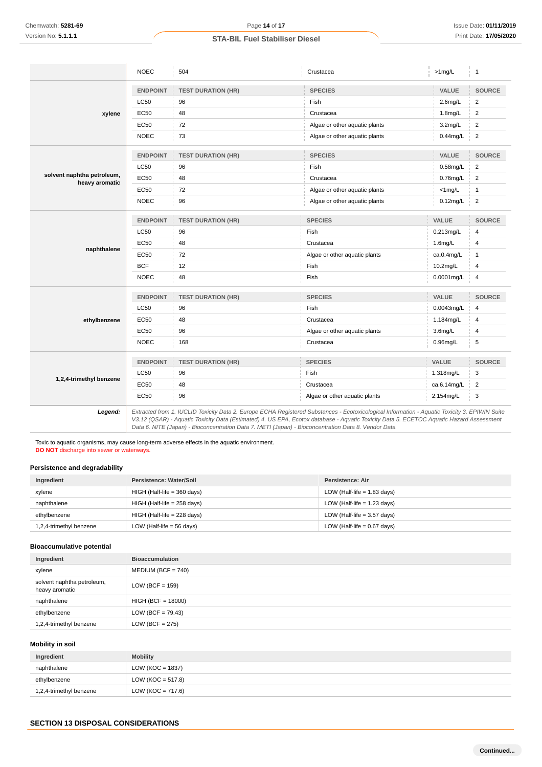|                                              | <b>NOEC</b>     | 504                       | Crustacea                                                                                                                                                                                                           | $>1$ mg/L           | $\overline{1}$ |
|----------------------------------------------|-----------------|---------------------------|---------------------------------------------------------------------------------------------------------------------------------------------------------------------------------------------------------------------|---------------------|----------------|
|                                              | <b>ENDPOINT</b> | <b>TEST DURATION (HR)</b> | <b>SPECIES</b>                                                                                                                                                                                                      | VALUE               | <b>SOURCE</b>  |
|                                              | LC50            | 96                        | Fish                                                                                                                                                                                                                | $2.6$ mg/L          | $\overline{2}$ |
| xylene                                       | EC50            | 48                        | Crustacea<br>1.8mg/L                                                                                                                                                                                                |                     | $\overline{2}$ |
|                                              | EC50            | 72                        | Algae or other aquatic plants<br>3.2 <sub>mg/L</sub>                                                                                                                                                                |                     | $\overline{2}$ |
|                                              | <b>NOEC</b>     | 73                        | Algae or other aquatic plants                                                                                                                                                                                       | $0.44$ mg/L         | $\overline{2}$ |
|                                              |                 |                           |                                                                                                                                                                                                                     |                     |                |
|                                              | <b>ENDPOINT</b> | <b>TEST DURATION (HR)</b> | <b>SPECIES</b>                                                                                                                                                                                                      | VALUE               | <b>SOURCE</b>  |
|                                              | <b>LC50</b>     | 96                        | Fish                                                                                                                                                                                                                | $0.58$ mg/L         | $\overline{2}$ |
| solvent naphtha petroleum,<br>heavy aromatic | <b>EC50</b>     | 48                        | Crustacea                                                                                                                                                                                                           | $0.76$ mg/L         | $\overline{2}$ |
|                                              | <b>EC50</b>     | 72                        | Algae or other aquatic plants                                                                                                                                                                                       | $<$ 1 mg/L          | $\mathbf{1}$   |
|                                              | <b>NOEC</b>     | 96                        | Algae or other aquatic plants                                                                                                                                                                                       | $0.12$ mg/L         | $\overline{2}$ |
|                                              | <b>ENDPOINT</b> | <b>TEST DURATION (HR)</b> | <b>SPECIES</b>                                                                                                                                                                                                      | VALUE               | <b>SOURCE</b>  |
|                                              | <b>LC50</b>     | 96                        | Fish                                                                                                                                                                                                                | 0.213mg/L           | 4              |
|                                              | <b>EC50</b>     | 48                        | Crustacea                                                                                                                                                                                                           | $1.6$ mg/L          | $\overline{4}$ |
| naphthalene                                  | <b>EC50</b>     | 72                        | Algae or other aquatic plants                                                                                                                                                                                       | ca.0.4mg/L          | $\mathbf{1}$   |
|                                              | <b>BCF</b>      | 12                        | Fish                                                                                                                                                                                                                | 10.2mg/L            | $\overline{4}$ |
|                                              | <b>NOEC</b>     | 48                        | Fish                                                                                                                                                                                                                | 0.0001mg/L          | $\overline{4}$ |
|                                              | <b>ENDPOINT</b> | <b>TEST DURATION (HR)</b> | <b>SPECIES</b>                                                                                                                                                                                                      | VALUE               | <b>SOURCE</b>  |
|                                              | LC50            | 96                        | Fish                                                                                                                                                                                                                | 0.0043mg/L          | 4              |
| ethylbenzene                                 | <b>EC50</b>     | 48                        | Crustacea                                                                                                                                                                                                           | 1.184mg/L           | 4              |
|                                              | EC50            | 96                        | Algae or other aquatic plants                                                                                                                                                                                       | 3.6 <sub>mg/L</sub> | 4              |
|                                              | <b>NOEC</b>     | 168                       | Crustacea                                                                                                                                                                                                           | $0.96$ mg/L         | 5              |
|                                              |                 |                           |                                                                                                                                                                                                                     |                     |                |
| 1,2,4-trimethyl benzene                      | <b>ENDPOINT</b> | <b>TEST DURATION (HR)</b> | <b>SPECIES</b>                                                                                                                                                                                                      | VALUE               | <b>SOURCE</b>  |
|                                              | LC50            | 96                        | Fish                                                                                                                                                                                                                | 1.318mg/L           | 3              |
|                                              | <b>EC50</b>     | 48                        | Crustacea                                                                                                                                                                                                           | ca.6.14mg/L         | $\overline{2}$ |
|                                              | <b>EC50</b>     | 96                        | Algae or other aquatic plants                                                                                                                                                                                       | 2.154mg/L           | 3              |
| Legend:                                      |                 |                           | Extracted from 1. IUCLID Toxicity Data 2. Europe ECHA Registered Substances - Ecotoxicological Information - Aquatic Toxicity 3. EPIWIN Suite<br><b>ME TO ME BULLED AND THE FULL LULLED AT MET AN BULLE FORTOOL</b> |                     |                |

V3.12 (QSAR) - Aquatic Toxicity Data (Estimated) 4. US EPA, Ecotox database - Aquatic Toxicity Data 5. ECETOC Aquatic Hazard Assessment Data 6. NITE (Japan) - Bioconcentration Data 7. METI (Japan) - Bioconcentration Data 8. Vendor Data

Toxic to aquatic organisms, may cause long-term adverse effects in the aquatic environment. **DO NOT** discharge into sewer or waterways.

# **Persistence and degradability**

| Ingredient              | Persistence: Water/Soil       | Persistence: Air              |
|-------------------------|-------------------------------|-------------------------------|
| xylene                  | $HIGH$ (Half-life = 360 days) | LOW (Half-life $= 1.83$ days) |
| naphthalene             | $HIGH$ (Half-life = 258 days) | LOW (Half-life $= 1.23$ days) |
| ethylbenzene            | $HIGH$ (Half-life = 228 days) | LOW (Half-life $=$ 3.57 days) |
| 1,2,4-trimethyl benzene | LOW (Half-life $=$ 56 days)   | LOW (Half-life $= 0.67$ days) |

# **Bioaccumulative potential**

| Ingredient                                   | <b>Bioaccumulation</b> |
|----------------------------------------------|------------------------|
| xylene                                       | $MEDIUM (BCF = 740)$   |
| solvent naphtha petroleum,<br>heavy aromatic | $LOW (BCF = 159)$      |
| naphthalene                                  | $HIGH (BCF = 18000)$   |
| ethylbenzene                                 | LOW (BCF = $79.43$ )   |
| 1,2,4-trimethyl benzene                      | LOW (BCF = $275$ )     |

# **Mobility in soil**

| Ingredient              | <b>Mobility</b>      |
|-------------------------|----------------------|
| naphthalene             | LOW (KOC = 1837)     |
| ethylbenzene            | LOW (KOC = $517.8$ ) |
| 1,2,4-trimethyl benzene | LOW (KOC = $717.6$ ) |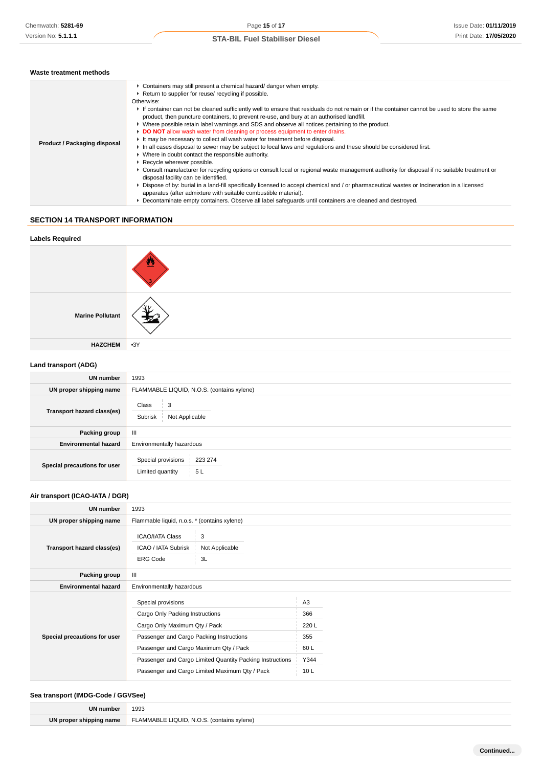| Waste treatment methods |                                                                                                                              |  |
|-------------------------|------------------------------------------------------------------------------------------------------------------------------|--|
|                         | Containers may still present a chemical hazard/ danger when empty.<br>▶ Return to supplier for reuse/ recycling if possible. |  |

|                              | ▶ Return to supplier for reuse/ recycling if possible.                                                                                                                                                                                                                                                                                                                                                                                                                                                                                                                                                                                                                                                                                                                                                                                                                                                                                                                                                                                                                                                                                                                                                                                             |
|------------------------------|----------------------------------------------------------------------------------------------------------------------------------------------------------------------------------------------------------------------------------------------------------------------------------------------------------------------------------------------------------------------------------------------------------------------------------------------------------------------------------------------------------------------------------------------------------------------------------------------------------------------------------------------------------------------------------------------------------------------------------------------------------------------------------------------------------------------------------------------------------------------------------------------------------------------------------------------------------------------------------------------------------------------------------------------------------------------------------------------------------------------------------------------------------------------------------------------------------------------------------------------------|
|                              | Otherwise:                                                                                                                                                                                                                                                                                                                                                                                                                                                                                                                                                                                                                                                                                                                                                                                                                                                                                                                                                                                                                                                                                                                                                                                                                                         |
| Product / Packaging disposal | If container can not be cleaned sufficiently well to ensure that residuals do not remain or if the container cannot be used to store the same<br>product, then puncture containers, to prevent re-use, and bury at an authorised landfill.<br>► Where possible retain label warnings and SDS and observe all notices pertaining to the product.<br>DO NOT allow wash water from cleaning or process equipment to enter drains.<br>It may be necessary to collect all wash water for treatment before disposal.<br>In all cases disposal to sewer may be subject to local laws and regulations and these should be considered first.<br>• Where in doubt contact the responsible authority.<br>▶ Recycle wherever possible.<br>► Consult manufacturer for recycling options or consult local or regional waste management authority for disposal if no suitable treatment or<br>disposal facility can be identified.<br>► Dispose of by: burial in a land-fill specifically licensed to accept chemical and / or pharmaceutical wastes or Incineration in a licensed<br>apparatus (after admixture with suitable combustible material).<br>Decontaminate empty containers. Observe all label safequards until containers are cleaned and destroyed. |
|                              |                                                                                                                                                                                                                                                                                                                                                                                                                                                                                                                                                                                                                                                                                                                                                                                                                                                                                                                                                                                                                                                                                                                                                                                                                                                    |

# **SECTION 14 TRANSPORT INFORMATION**

# **Labels Required Marine Pollutant HAZCHEM** •3Y

# **Land transport (ADG)**

| <b>UN number</b>             | 1993                                                    |  |
|------------------------------|---------------------------------------------------------|--|
| UN proper shipping name      | FLAMMABLE LIQUID, N.O.S. (contains xylene)              |  |
| Transport hazard class(es)   | Class<br>3<br>Subrisk<br>Not Applicable                 |  |
| Packing group                | Ш                                                       |  |
| <b>Environmental hazard</b>  | Environmentally hazardous                               |  |
| Special precautions for user | Special provisions<br>223 274<br>Limited quantity<br>5L |  |

# **Air transport (ICAO-IATA / DGR)**

| <b>UN number</b>             | 1993                                                      |                     |                 |
|------------------------------|-----------------------------------------------------------|---------------------|-----------------|
| UN proper shipping name      | Flammable liquid, n.o.s. * (contains xylene)              |                     |                 |
| Transport hazard class(es)   | <b>ICAO/IATA Class</b><br>ICAO / IATA Subrisk             | 3<br>Not Applicable |                 |
|                              | <b>ERG Code</b>                                           | 3L                  |                 |
| Packing group                | $\mathbf{III}$                                            |                     |                 |
| <b>Environmental hazard</b>  | Environmentally hazardous                                 |                     |                 |
| Special precautions for user | Special provisions                                        |                     | A <sub>3</sub>  |
|                              | Cargo Only Packing Instructions                           |                     | 366             |
|                              | Cargo Only Maximum Qty / Pack                             |                     | 220 L           |
|                              | Passenger and Cargo Packing Instructions                  |                     | 355             |
|                              | Passenger and Cargo Maximum Qty / Pack                    |                     | 60 L            |
|                              | Passenger and Cargo Limited Quantity Packing Instructions |                     | Y344            |
|                              | Passenger and Cargo Limited Maximum Qty / Pack            |                     | 10 <sub>L</sub> |

# **Sea transport (IMDG-Code / GGVSee)**

| UN numb.   | 1993                        |
|------------|-----------------------------|
| I٨<br>name | ЛE<br>(vlene)<br>$\sqrt{2}$ |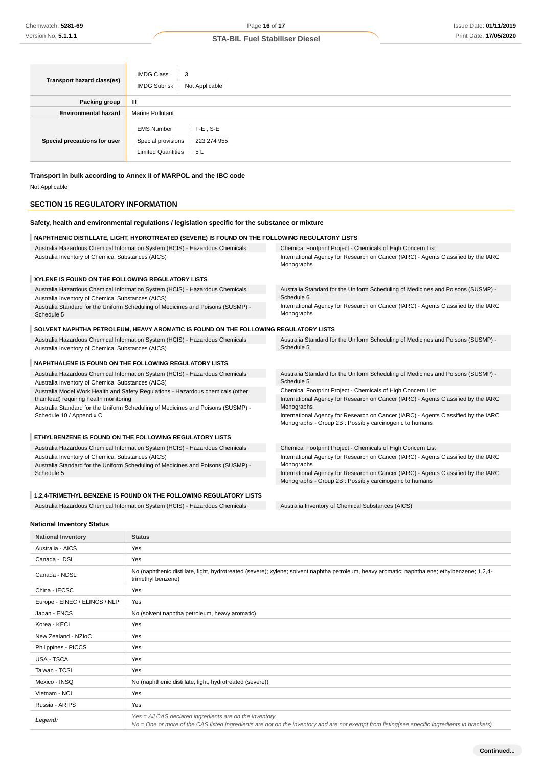| Transport hazard class(es)   | <b>IMDG Class</b><br>3<br><b>IMDG Subrisk</b><br>Not Applicable                                           |
|------------------------------|-----------------------------------------------------------------------------------------------------------|
| Packing group                | $\mathbf{III}$                                                                                            |
| <b>Environmental hazard</b>  | <b>Marine Pollutant</b>                                                                                   |
| Special precautions for user | <b>EMS Number</b><br>$F-E$ , S-E<br>Special provisions<br>223 274 955<br><b>Limited Quantities</b><br>5 L |

**Transport in bulk according to Annex II of MARPOL and the IBC code** Not Applicable

# **SECTION 15 REGULATORY INFORMATION**

| Safety, health and environmental regulations / legislation specific for the substance or mixture                                  |                                                                                                                                              |  |
|-----------------------------------------------------------------------------------------------------------------------------------|----------------------------------------------------------------------------------------------------------------------------------------------|--|
| NAPHTHENIC DISTILLATE, LIGHT, HYDROTREATED (SEVERE) IS FOUND ON THE FOLLOWING REGULATORY LISTS                                    |                                                                                                                                              |  |
| Australia Hazardous Chemical Information System (HCIS) - Hazardous Chemicals                                                      | Chemical Footprint Project - Chemicals of High Concern List                                                                                  |  |
| Australia Inventory of Chemical Substances (AICS)                                                                                 | International Agency for Research on Cancer (IARC) - Agents Classified by the IARC<br>Monographs                                             |  |
| XYLENE IS FOUND ON THE FOLLOWING REGULATORY LISTS                                                                                 |                                                                                                                                              |  |
| Australia Hazardous Chemical Information System (HCIS) - Hazardous Chemicals<br>Australia Inventory of Chemical Substances (AICS) | Australia Standard for the Uniform Scheduling of Medicines and Poisons (SUSMP) -<br>Schedule 6                                               |  |
| Australia Standard for the Uniform Scheduling of Medicines and Poisons (SUSMP) -<br>Schedule 5                                    | International Agency for Research on Cancer (IARC) - Agents Classified by the IARC<br>Monographs                                             |  |
| SOLVENT NAPHTHA PETROLEUM, HEAVY AROMATIC IS FOUND ON THE FOLLOWING REGULATORY LISTS                                              |                                                                                                                                              |  |
| Australia Hazardous Chemical Information System (HCIS) - Hazardous Chemicals<br>Australia Inventory of Chemical Substances (AICS) | Australia Standard for the Uniform Scheduling of Medicines and Poisons (SUSMP) -<br>Schedule 5                                               |  |
| NAPHTHALENE IS FOUND ON THE FOLLOWING REGULATORY LISTS                                                                            |                                                                                                                                              |  |
| Australia Hazardous Chemical Information System (HCIS) - Hazardous Chemicals<br>Australia Inventory of Chemical Substances (AICS) | Australia Standard for the Uniform Scheduling of Medicines and Poisons (SUSMP) -<br>Schedule 5                                               |  |
| Australia Model Work Health and Safety Regulations - Hazardous chemicals (other                                                   | Chemical Footprint Project - Chemicals of High Concern List                                                                                  |  |
| than lead) requiring health monitoring                                                                                            | International Agency for Research on Cancer (IARC) - Agents Classified by the IARC                                                           |  |
| Australia Standard for the Uniform Scheduling of Medicines and Poisons (SUSMP) -<br>Schedule 10 / Appendix C                      | Monographs<br>International Agency for Research on Cancer (IARC) - Agents Classified by the IARC                                             |  |
|                                                                                                                                   | Monographs - Group 2B : Possibly carcinogenic to humans                                                                                      |  |
| ETHYLBENZENE IS FOUND ON THE FOLLOWING REGULATORY LISTS                                                                           |                                                                                                                                              |  |
| Australia Hazardous Chemical Information System (HCIS) - Hazardous Chemicals                                                      | Chemical Footprint Project - Chemicals of High Concern List                                                                                  |  |
| Australia Inventory of Chemical Substances (AICS)                                                                                 | International Agency for Research on Cancer (IARC) - Agents Classified by the IARC                                                           |  |
| Australia Standard for the Uniform Scheduling of Medicines and Poisons (SUSMP) -                                                  | Monographs                                                                                                                                   |  |
| Schedule 5                                                                                                                        | International Agency for Research on Cancer (IARC) - Agents Classified by the IARC<br>Monographs - Group 2B: Possibly carcinogenic to humans |  |
| 1.2.4-TRIMETHYL BENZENE IS FOUND ON THE FOLLOWING REGULATORY LISTS                                                                |                                                                                                                                              |  |

Australia Hazardous Chemical Information System (HCIS) - Hazardous Chemicals Australia Inventory of Chemical Substances (AICS)

**National Inventory Status**

**National Inventory Status** Australia - AICS Yes Canada - DSL Yes Canada - NDSL No (naphthenic distillate, light, hydrotreated (severe); xylene; solvent naphtha petroleum, heavy aromatic; naphthalene; ethylbenzene; 1,2,4trimethyl benzene) China - IECSC Yes Europe - EINEC / ELINCS / NLP Yes Japan - ENCS No (solvent naphtha petroleum, heavy aromatic) Korea - KECI Yes New Zealand - NZIoC Yes Philippines - PICCS Yes USA - TSCA Yes Taiwan - TCSI Yes Mexico - INSQ No (naphthenic distillate, light, hydrotreated (severe)) Vietnam - NCI Yes Russia - ARIPS Yes Yes = All CAS declared ingredients are on the inventory<br>No = One or more of the CAS listed incredients are not to No = One or more of the CAS listed ingredients are not on the inventory and are not exempt from listing(see specific ingredients in brackets)